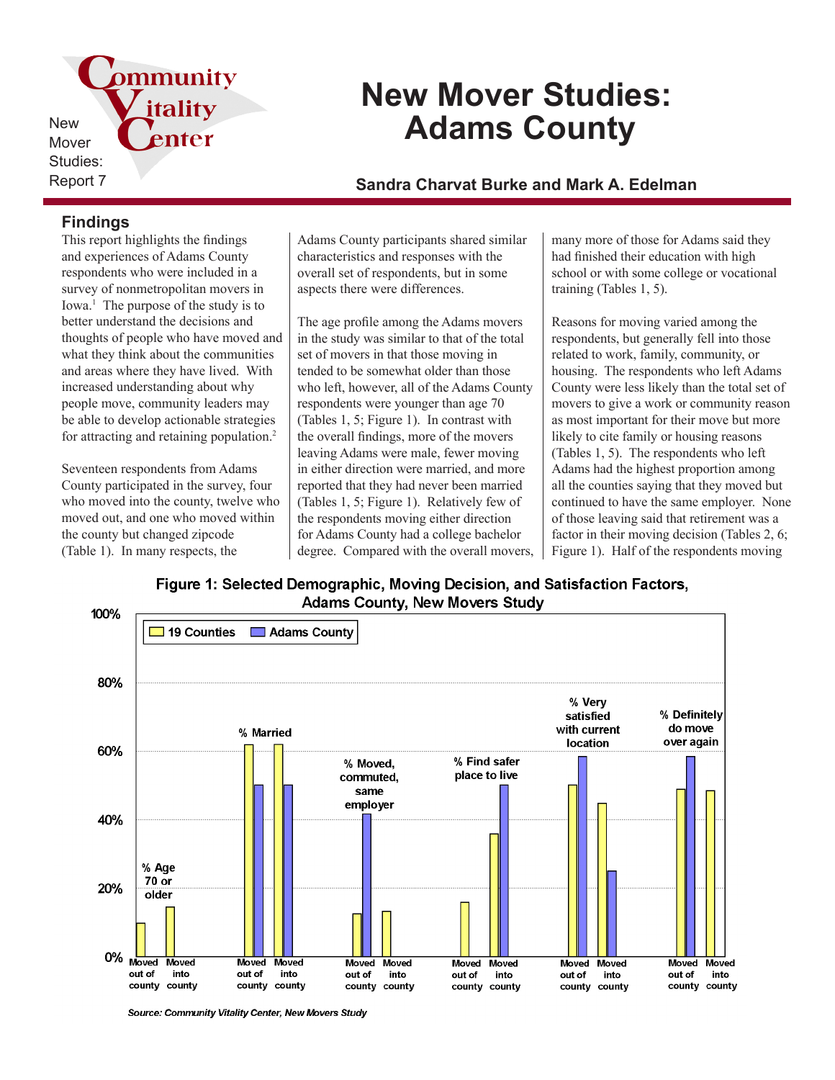pmmunity New Mover Studies:

# **New Mover Studies: Adams County**

Report 7 **Sandra Charvat Burke and Mark A. Edelman**

## **Findings**

This report highlights the findings and experiences of Adams County respondents who were included in a survey of nonmetropolitan movers in Iowa.<sup>1</sup> The purpose of the study is to better understand the decisions and thoughts of people who have moved and what they think about the communities and areas where they have lived. With increased understanding about why people move, community leaders may be able to develop actionable strategies for attracting and retaining population.<sup>2</sup>

itality

enter

Seventeen respondents from Adams County participated in the survey, four who moved into the county, twelve who moved out, and one who moved within the county but changed zipcode (Table 1). In many respects, the

Adams County participants shared similar characteristics and responses with the overall set of respondents, but in some aspects there were differences.

The age profile among the Adams movers in the study was similar to that of the total set of movers in that those moving in tended to be somewhat older than those who left, however, all of the Adams County respondents were younger than age 70 (Tables 1, 5; Figure 1). In contrast with the overall findings, more of the movers leaving Adams were male, fewer moving in either direction were married, and more reported that they had never been married (Tables 1, 5; Figure 1). Relatively few of the respondents moving either direction for Adams County had a college bachelor degree. Compared with the overall movers,

many more of those for Adams said they had finished their education with high school or with some college or vocational training (Tables 1, 5).

Reasons for moving varied among the respondents, but generally fell into those related to work, family, community, or housing. The respondents who left Adams County were less likely than the total set of movers to give a work or community reason as most important for their move but more likely to cite family or housing reasons (Tables 1, 5). The respondents who left Adams had the highest proportion among all the counties saying that they moved but continued to have the same employer. None of those leaving said that retirement was a factor in their moving decision (Tables 2, 6; Figure 1). Half of the respondents moving

Figure 1: Selected Demographic, Moving Decision, and Satisfaction Factors, **Adams County, New Movers Study** 



Source: Community Vitality Center, New Movers Study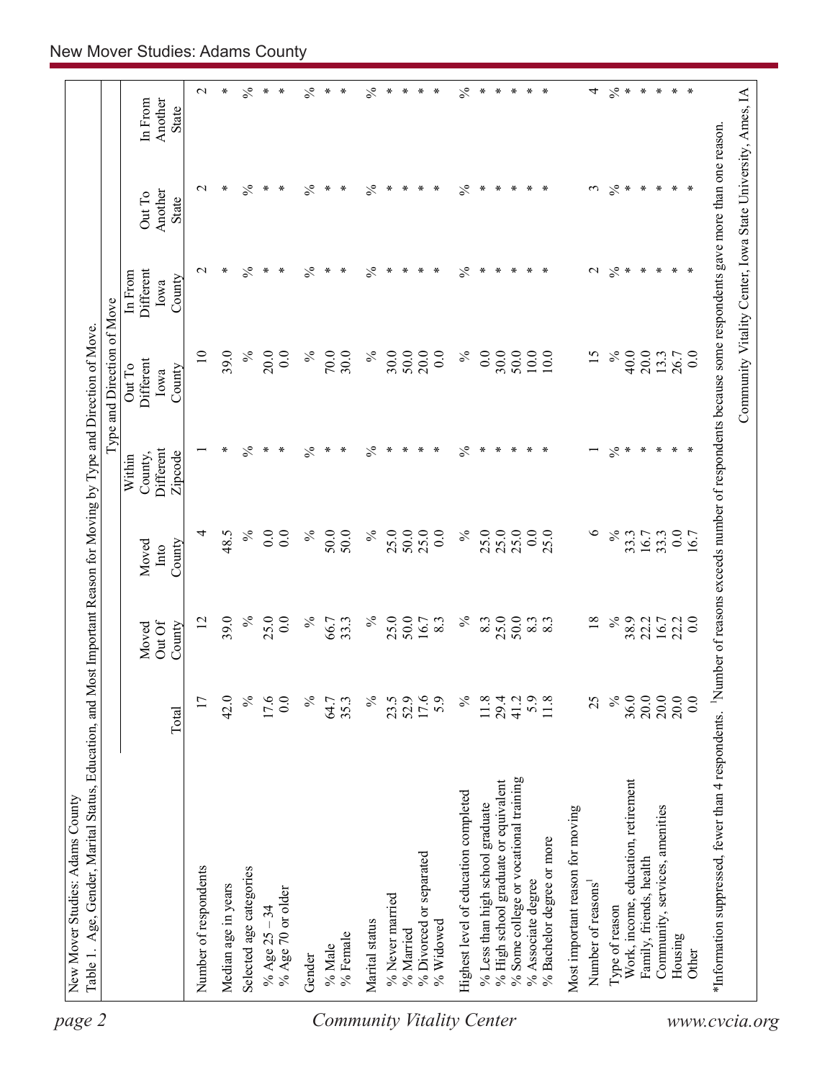| $\ast$<br>$\%$<br>$\frac{5}{6}$<br>$\frac{5}{6}$<br>$\ast$<br>$\ast$<br>$\%$<br>$\ast$<br>$\ast$<br>$\ast$<br>$\ast$<br>$\mathbf 2$<br>$\%$<br>$\ast$<br>$\ast$<br>∗<br>$\ast$<br>$\ast$<br>$\ast$<br>$\ast$<br>$\ast$<br>∗<br>$\ast$<br>$\ast$<br>4<br>$\ast$<br>Another<br>In From<br>State<br>$\%$<br>$\frac{5}{6}$<br>$\frac{5}{6}$<br>$\stackrel{\circ}{\sim}$ *<br>$\ast$<br>$\%$<br>$\ast$<br>$\ast$<br>$\ast$<br>$\mathbf{\sim}$<br>∗<br>$\ast$<br>∗<br>$\ast$<br>∗<br>∗<br>$\ast$<br>$\ast$<br>∗<br>$\ast$<br>∗<br>*<br>$\epsilon$<br>$\ast$<br>∗<br>Another<br>Out To<br>State<br>$\%$<br>$\ast$<br>$\%$<br>$\%$<br>$\ast$<br>$\%$<br>$\ast$<br>$\ast$<br>$\ast$<br>$\mathcal{S}^*$<br>$\ast$<br>$\ast$<br>$\ast$<br>$\mathbf{\sim}$<br>∗<br>∗<br>∗<br>$\ast$<br>∗<br>∗<br>∗<br>∗<br>∗<br>$\mathcal{L}$<br>∗<br><b>Different</b><br>In From<br>County<br>Iowa<br>$\%$<br>$\%$<br>$\%$<br>$\overline{10}$<br>39.0<br>$\%$<br>30.0<br>50.0<br>20.0<br>0.0<br>30.0<br>50.0<br>10.0<br>40.0<br>20.0<br>$\%$<br>30.0<br>0.0<br>10.0<br>15<br>13.3<br>20.0<br>0.0<br>70.0<br>26.7<br>0.0<br>Different<br>Out To<br>County<br>Iowa<br>$\frac{5}{6}$<br>$\frac{5}{6}$<br>$\%$<br>$\frac{5}{6}$<br>∗<br>$\ast$<br>$\ast$<br>$\ast$<br>$\ast$<br>$\%$<br>$\ast$<br>$\ast$<br>$\ast$<br>∗<br>$\ast$<br>∗<br>$\ast$<br>∗<br>$\ast$<br>∗<br>∗<br>$\ast$<br>∗<br>∗<br>Different<br>Zipcode<br>County,<br>Within<br>$\%$<br>$\%$<br>25.0<br>$\%$<br>25.0<br>25.0<br>$\circ$<br>$\%$<br>$\%$<br>0.0<br>50.0<br>50.0<br>25.0<br>50.0<br>0.0<br>25.0<br>0.0<br>25.0<br>$0.0\,$<br>4<br>0.0<br>33.3<br>16.7<br>33.3<br>48.5<br>16.7<br>County<br>Moved<br>Into<br>$\%$<br>25.0<br>$\%$<br>39.0<br>$\%$<br>25.0<br>0.0<br>$\%$<br>25.0<br>50.0<br>$\%$<br>50.0<br>38.9<br>$\overline{2}$<br>33.3<br>8.3<br>$\overline{18}$<br>22.2<br>0.0<br>66.7<br>16.7<br>8.3<br>8.3<br>8.3<br>16.7<br>22.2<br>Out Of<br>County<br>Moved<br>$\%$<br>20.0<br>20.0<br>20.0<br>42.0<br>$\%$<br>$\%$<br>$\%$<br>$\%$<br>25<br>36.0<br>0.0<br>17<br>17.6<br>0.0<br>17.6<br>5.9<br>35.3<br>23.5<br>52.9<br>5.9<br>11.8<br>29.4<br>41.2<br>11.8<br>64.7<br>Total<br>% Some college or vocational training<br>Work, income, education, retirement<br>% High school graduate or equivalent<br>Highest level of education completed<br>% Less than high school graduate<br>Community, services, amenities<br>Most important reason for moving<br>% Bachelor degree or more<br>% Divorced or separated<br>Family, friends, health<br>Number of respondents<br>Selected age categories<br>% Associate degree<br>Number of reasons <sup>1</sup><br>Median age in years<br>% Age 70 or older<br>% Never married<br>Type of reason<br>% Age $25 - 34$<br>Marital status<br>% Widowed<br>% Married<br>% Female<br>Housing<br>% Male<br>Other<br>Gender |  |  | Type and Direction of Move |  |  |
|-----------------------------------------------------------------------------------------------------------------------------------------------------------------------------------------------------------------------------------------------------------------------------------------------------------------------------------------------------------------------------------------------------------------------------------------------------------------------------------------------------------------------------------------------------------------------------------------------------------------------------------------------------------------------------------------------------------------------------------------------------------------------------------------------------------------------------------------------------------------------------------------------------------------------------------------------------------------------------------------------------------------------------------------------------------------------------------------------------------------------------------------------------------------------------------------------------------------------------------------------------------------------------------------------------------------------------------------------------------------------------------------------------------------------------------------------------------------------------------------------------------------------------------------------------------------------------------------------------------------------------------------------------------------------------------------------------------------------------------------------------------------------------------------------------------------------------------------------------------------------------------------------------------------------------------------------------------------------------------------------------------------------------------------------------------------------------------------------------------------------------------------------------------------------------------------------------------------------------------------------------------------------------------------------------------------------------------------------------------------------------------------------------------------------------------------------------------------------------------------------------------------------------------------------------------------------------------------------------------------------------------------------------------------------------------------------------------------------------------------------------------------------------------------------------------------|--|--|----------------------------|--|--|
|                                                                                                                                                                                                                                                                                                                                                                                                                                                                                                                                                                                                                                                                                                                                                                                                                                                                                                                                                                                                                                                                                                                                                                                                                                                                                                                                                                                                                                                                                                                                                                                                                                                                                                                                                                                                                                                                                                                                                                                                                                                                                                                                                                                                                                                                                                                                                                                                                                                                                                                                                                                                                                                                                                                                                                                                                 |  |  |                            |  |  |
|                                                                                                                                                                                                                                                                                                                                                                                                                                                                                                                                                                                                                                                                                                                                                                                                                                                                                                                                                                                                                                                                                                                                                                                                                                                                                                                                                                                                                                                                                                                                                                                                                                                                                                                                                                                                                                                                                                                                                                                                                                                                                                                                                                                                                                                                                                                                                                                                                                                                                                                                                                                                                                                                                                                                                                                                                 |  |  |                            |  |  |
|                                                                                                                                                                                                                                                                                                                                                                                                                                                                                                                                                                                                                                                                                                                                                                                                                                                                                                                                                                                                                                                                                                                                                                                                                                                                                                                                                                                                                                                                                                                                                                                                                                                                                                                                                                                                                                                                                                                                                                                                                                                                                                                                                                                                                                                                                                                                                                                                                                                                                                                                                                                                                                                                                                                                                                                                                 |  |  |                            |  |  |
|                                                                                                                                                                                                                                                                                                                                                                                                                                                                                                                                                                                                                                                                                                                                                                                                                                                                                                                                                                                                                                                                                                                                                                                                                                                                                                                                                                                                                                                                                                                                                                                                                                                                                                                                                                                                                                                                                                                                                                                                                                                                                                                                                                                                                                                                                                                                                                                                                                                                                                                                                                                                                                                                                                                                                                                                                 |  |  |                            |  |  |
|                                                                                                                                                                                                                                                                                                                                                                                                                                                                                                                                                                                                                                                                                                                                                                                                                                                                                                                                                                                                                                                                                                                                                                                                                                                                                                                                                                                                                                                                                                                                                                                                                                                                                                                                                                                                                                                                                                                                                                                                                                                                                                                                                                                                                                                                                                                                                                                                                                                                                                                                                                                                                                                                                                                                                                                                                 |  |  |                            |  |  |
|                                                                                                                                                                                                                                                                                                                                                                                                                                                                                                                                                                                                                                                                                                                                                                                                                                                                                                                                                                                                                                                                                                                                                                                                                                                                                                                                                                                                                                                                                                                                                                                                                                                                                                                                                                                                                                                                                                                                                                                                                                                                                                                                                                                                                                                                                                                                                                                                                                                                                                                                                                                                                                                                                                                                                                                                                 |  |  |                            |  |  |
|                                                                                                                                                                                                                                                                                                                                                                                                                                                                                                                                                                                                                                                                                                                                                                                                                                                                                                                                                                                                                                                                                                                                                                                                                                                                                                                                                                                                                                                                                                                                                                                                                                                                                                                                                                                                                                                                                                                                                                                                                                                                                                                                                                                                                                                                                                                                                                                                                                                                                                                                                                                                                                                                                                                                                                                                                 |  |  |                            |  |  |
|                                                                                                                                                                                                                                                                                                                                                                                                                                                                                                                                                                                                                                                                                                                                                                                                                                                                                                                                                                                                                                                                                                                                                                                                                                                                                                                                                                                                                                                                                                                                                                                                                                                                                                                                                                                                                                                                                                                                                                                                                                                                                                                                                                                                                                                                                                                                                                                                                                                                                                                                                                                                                                                                                                                                                                                                                 |  |  |                            |  |  |
|                                                                                                                                                                                                                                                                                                                                                                                                                                                                                                                                                                                                                                                                                                                                                                                                                                                                                                                                                                                                                                                                                                                                                                                                                                                                                                                                                                                                                                                                                                                                                                                                                                                                                                                                                                                                                                                                                                                                                                                                                                                                                                                                                                                                                                                                                                                                                                                                                                                                                                                                                                                                                                                                                                                                                                                                                 |  |  |                            |  |  |
|                                                                                                                                                                                                                                                                                                                                                                                                                                                                                                                                                                                                                                                                                                                                                                                                                                                                                                                                                                                                                                                                                                                                                                                                                                                                                                                                                                                                                                                                                                                                                                                                                                                                                                                                                                                                                                                                                                                                                                                                                                                                                                                                                                                                                                                                                                                                                                                                                                                                                                                                                                                                                                                                                                                                                                                                                 |  |  |                            |  |  |
|                                                                                                                                                                                                                                                                                                                                                                                                                                                                                                                                                                                                                                                                                                                                                                                                                                                                                                                                                                                                                                                                                                                                                                                                                                                                                                                                                                                                                                                                                                                                                                                                                                                                                                                                                                                                                                                                                                                                                                                                                                                                                                                                                                                                                                                                                                                                                                                                                                                                                                                                                                                                                                                                                                                                                                                                                 |  |  |                            |  |  |
|                                                                                                                                                                                                                                                                                                                                                                                                                                                                                                                                                                                                                                                                                                                                                                                                                                                                                                                                                                                                                                                                                                                                                                                                                                                                                                                                                                                                                                                                                                                                                                                                                                                                                                                                                                                                                                                                                                                                                                                                                                                                                                                                                                                                                                                                                                                                                                                                                                                                                                                                                                                                                                                                                                                                                                                                                 |  |  |                            |  |  |
|                                                                                                                                                                                                                                                                                                                                                                                                                                                                                                                                                                                                                                                                                                                                                                                                                                                                                                                                                                                                                                                                                                                                                                                                                                                                                                                                                                                                                                                                                                                                                                                                                                                                                                                                                                                                                                                                                                                                                                                                                                                                                                                                                                                                                                                                                                                                                                                                                                                                                                                                                                                                                                                                                                                                                                                                                 |  |  |                            |  |  |
|                                                                                                                                                                                                                                                                                                                                                                                                                                                                                                                                                                                                                                                                                                                                                                                                                                                                                                                                                                                                                                                                                                                                                                                                                                                                                                                                                                                                                                                                                                                                                                                                                                                                                                                                                                                                                                                                                                                                                                                                                                                                                                                                                                                                                                                                                                                                                                                                                                                                                                                                                                                                                                                                                                                                                                                                                 |  |  |                            |  |  |
|                                                                                                                                                                                                                                                                                                                                                                                                                                                                                                                                                                                                                                                                                                                                                                                                                                                                                                                                                                                                                                                                                                                                                                                                                                                                                                                                                                                                                                                                                                                                                                                                                                                                                                                                                                                                                                                                                                                                                                                                                                                                                                                                                                                                                                                                                                                                                                                                                                                                                                                                                                                                                                                                                                                                                                                                                 |  |  |                            |  |  |
|                                                                                                                                                                                                                                                                                                                                                                                                                                                                                                                                                                                                                                                                                                                                                                                                                                                                                                                                                                                                                                                                                                                                                                                                                                                                                                                                                                                                                                                                                                                                                                                                                                                                                                                                                                                                                                                                                                                                                                                                                                                                                                                                                                                                                                                                                                                                                                                                                                                                                                                                                                                                                                                                                                                                                                                                                 |  |  |                            |  |  |
|                                                                                                                                                                                                                                                                                                                                                                                                                                                                                                                                                                                                                                                                                                                                                                                                                                                                                                                                                                                                                                                                                                                                                                                                                                                                                                                                                                                                                                                                                                                                                                                                                                                                                                                                                                                                                                                                                                                                                                                                                                                                                                                                                                                                                                                                                                                                                                                                                                                                                                                                                                                                                                                                                                                                                                                                                 |  |  |                            |  |  |
|                                                                                                                                                                                                                                                                                                                                                                                                                                                                                                                                                                                                                                                                                                                                                                                                                                                                                                                                                                                                                                                                                                                                                                                                                                                                                                                                                                                                                                                                                                                                                                                                                                                                                                                                                                                                                                                                                                                                                                                                                                                                                                                                                                                                                                                                                                                                                                                                                                                                                                                                                                                                                                                                                                                                                                                                                 |  |  |                            |  |  |
|                                                                                                                                                                                                                                                                                                                                                                                                                                                                                                                                                                                                                                                                                                                                                                                                                                                                                                                                                                                                                                                                                                                                                                                                                                                                                                                                                                                                                                                                                                                                                                                                                                                                                                                                                                                                                                                                                                                                                                                                                                                                                                                                                                                                                                                                                                                                                                                                                                                                                                                                                                                                                                                                                                                                                                                                                 |  |  |                            |  |  |
|                                                                                                                                                                                                                                                                                                                                                                                                                                                                                                                                                                                                                                                                                                                                                                                                                                                                                                                                                                                                                                                                                                                                                                                                                                                                                                                                                                                                                                                                                                                                                                                                                                                                                                                                                                                                                                                                                                                                                                                                                                                                                                                                                                                                                                                                                                                                                                                                                                                                                                                                                                                                                                                                                                                                                                                                                 |  |  |                            |  |  |
|                                                                                                                                                                                                                                                                                                                                                                                                                                                                                                                                                                                                                                                                                                                                                                                                                                                                                                                                                                                                                                                                                                                                                                                                                                                                                                                                                                                                                                                                                                                                                                                                                                                                                                                                                                                                                                                                                                                                                                                                                                                                                                                                                                                                                                                                                                                                                                                                                                                                                                                                                                                                                                                                                                                                                                                                                 |  |  |                            |  |  |
|                                                                                                                                                                                                                                                                                                                                                                                                                                                                                                                                                                                                                                                                                                                                                                                                                                                                                                                                                                                                                                                                                                                                                                                                                                                                                                                                                                                                                                                                                                                                                                                                                                                                                                                                                                                                                                                                                                                                                                                                                                                                                                                                                                                                                                                                                                                                                                                                                                                                                                                                                                                                                                                                                                                                                                                                                 |  |  |                            |  |  |
|                                                                                                                                                                                                                                                                                                                                                                                                                                                                                                                                                                                                                                                                                                                                                                                                                                                                                                                                                                                                                                                                                                                                                                                                                                                                                                                                                                                                                                                                                                                                                                                                                                                                                                                                                                                                                                                                                                                                                                                                                                                                                                                                                                                                                                                                                                                                                                                                                                                                                                                                                                                                                                                                                                                                                                                                                 |  |  |                            |  |  |
|                                                                                                                                                                                                                                                                                                                                                                                                                                                                                                                                                                                                                                                                                                                                                                                                                                                                                                                                                                                                                                                                                                                                                                                                                                                                                                                                                                                                                                                                                                                                                                                                                                                                                                                                                                                                                                                                                                                                                                                                                                                                                                                                                                                                                                                                                                                                                                                                                                                                                                                                                                                                                                                                                                                                                                                                                 |  |  |                            |  |  |
|                                                                                                                                                                                                                                                                                                                                                                                                                                                                                                                                                                                                                                                                                                                                                                                                                                                                                                                                                                                                                                                                                                                                                                                                                                                                                                                                                                                                                                                                                                                                                                                                                                                                                                                                                                                                                                                                                                                                                                                                                                                                                                                                                                                                                                                                                                                                                                                                                                                                                                                                                                                                                                                                                                                                                                                                                 |  |  |                            |  |  |
|                                                                                                                                                                                                                                                                                                                                                                                                                                                                                                                                                                                                                                                                                                                                                                                                                                                                                                                                                                                                                                                                                                                                                                                                                                                                                                                                                                                                                                                                                                                                                                                                                                                                                                                                                                                                                                                                                                                                                                                                                                                                                                                                                                                                                                                                                                                                                                                                                                                                                                                                                                                                                                                                                                                                                                                                                 |  |  |                            |  |  |
|                                                                                                                                                                                                                                                                                                                                                                                                                                                                                                                                                                                                                                                                                                                                                                                                                                                                                                                                                                                                                                                                                                                                                                                                                                                                                                                                                                                                                                                                                                                                                                                                                                                                                                                                                                                                                                                                                                                                                                                                                                                                                                                                                                                                                                                                                                                                                                                                                                                                                                                                                                                                                                                                                                                                                                                                                 |  |  |                            |  |  |
|                                                                                                                                                                                                                                                                                                                                                                                                                                                                                                                                                                                                                                                                                                                                                                                                                                                                                                                                                                                                                                                                                                                                                                                                                                                                                                                                                                                                                                                                                                                                                                                                                                                                                                                                                                                                                                                                                                                                                                                                                                                                                                                                                                                                                                                                                                                                                                                                                                                                                                                                                                                                                                                                                                                                                                                                                 |  |  |                            |  |  |
|                                                                                                                                                                                                                                                                                                                                                                                                                                                                                                                                                                                                                                                                                                                                                                                                                                                                                                                                                                                                                                                                                                                                                                                                                                                                                                                                                                                                                                                                                                                                                                                                                                                                                                                                                                                                                                                                                                                                                                                                                                                                                                                                                                                                                                                                                                                                                                                                                                                                                                                                                                                                                                                                                                                                                                                                                 |  |  |                            |  |  |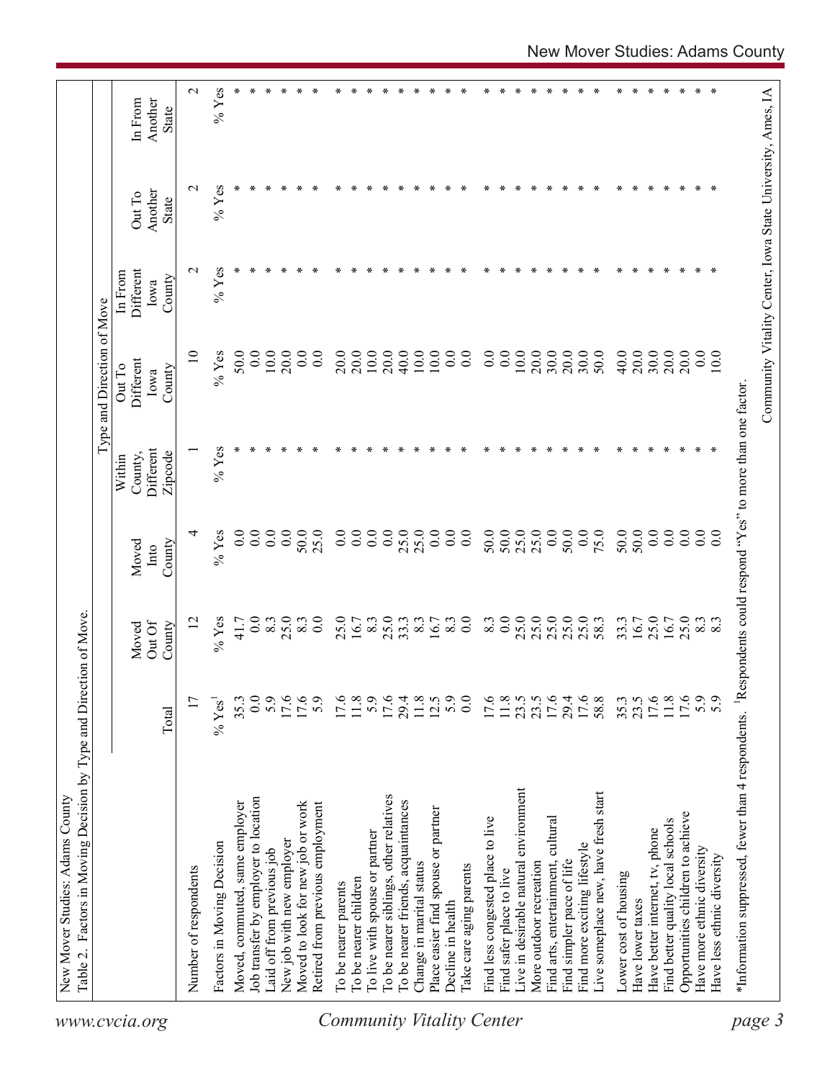| www.cvcia.org                    | Table 2. Factors in Moving Decision by Type and Direction of Move.                                          |                   |                 |                  |                      | Type and Direction of Move |                   |                                                            |                    |
|----------------------------------|-------------------------------------------------------------------------------------------------------------|-------------------|-----------------|------------------|----------------------|----------------------------|-------------------|------------------------------------------------------------|--------------------|
|                                  |                                                                                                             |                   |                 |                  | Within               | Out To                     | In From           |                                                            |                    |
|                                  |                                                                                                             |                   | Out Of<br>Moved | Moved<br>Into    | Different<br>County, | Different<br>Iowa          | Different<br>Iowa | Another<br>Out To                                          | Another<br>In From |
|                                  |                                                                                                             | Total             | County          | County           | Zipcode              | County                     | County            | State                                                      | State              |
|                                  | Number of respondents                                                                                       | 17                | $\overline{c}$  | ₹                |                      | $\overline{10}$            | $\mathbf{\sim}$   | $\mathbf{\sim}$                                            | $\mathbf{\Omega}$  |
|                                  | Factors in Moving Decision                                                                                  | $\%$ Yes          | $%$ Yes         | $%$ Yes          | $%$ Yes              | $%$ Yes                    | $%$ Yes           | $%$ Yes                                                    | $%$ Yes            |
|                                  | Moved, commuted, same employer                                                                              | 35.3              | 41.7            | 0.0              | ∗                    | 50.0                       |                   |                                                            |                    |
|                                  | Job transfer by employer to location                                                                        | 0.0               | 0.0             | 0.0              |                      | 0.0                        |                   |                                                            |                    |
|                                  | Laid off from previous job                                                                                  | 5.9               | 8.3             | 0.0              |                      | 10.0                       |                   |                                                            | ∗                  |
|                                  | New job with new employer                                                                                   | 17.6              | 25.0            | 0.0              |                      | 20.0                       |                   |                                                            | ∗                  |
|                                  | Moved to look for new job or work                                                                           | 17.6              | 8.3             | 50.0             |                      | 0.0                        |                   |                                                            | ∗                  |
|                                  | Retired from previous employment                                                                            | 5.9               | 0.0             | 25.0             |                      | 0.0                        |                   |                                                            | $\ast$             |
|                                  | To be nearer parents                                                                                        |                   | 25.0            | 0.0              |                      | 20.0                       |                   |                                                            | ÷.                 |
|                                  | To be nearer children                                                                                       | 17.6              | 16.7            | 0.0              |                      | 20.0                       |                   |                                                            |                    |
|                                  | To live with spouse or partner                                                                              | 5.9               | 8.3             | 0.0              |                      | 10.0                       |                   |                                                            | ÷                  |
|                                  | To be nearer siblings, other relatives                                                                      | 17.6              | 25.0            | 0.0              | ∗                    | 20.0                       |                   |                                                            | ∗                  |
|                                  | To be nearer friends, acquaintances                                                                         | 29.4              | 33.3            | 25.0             | ∗                    | 40.0                       |                   |                                                            |                    |
|                                  | Change in marital status                                                                                    | 11.8              | 8.3             | 25.0             | $\ast$               | 10.0                       |                   |                                                            |                    |
|                                  | Place easier find spouse or partner                                                                         | 12.5              | 16.7            | 0.0              | ∗                    | 10.0                       |                   |                                                            |                    |
|                                  | Decline in health                                                                                           | $\frac{5.0}{0.0}$ | 8.3             | 0.0              | ∗                    | 0.0                        |                   |                                                            |                    |
| <b>Community Vitality Center</b> | Take care aging parents                                                                                     |                   | 0.0             | 0.0              | ∗                    | 0.0                        | ∗                 | ⋇                                                          | ∗                  |
|                                  | Find less congested place to live                                                                           | 17.6              | 8.3             | 50.0             | Y.                   | 0.0                        |                   |                                                            |                    |
|                                  | Find safer place to live                                                                                    | 11.8              | 0.0             | 50.0             | ∗                    | 0.0                        |                   | ¥                                                          | $\ast$             |
|                                  | Live in desirable natural environment                                                                       | 23.5              | 25.0            | 25.0             | ∗                    | 10.0                       |                   |                                                            | ÷.                 |
|                                  | More outdoor recreation                                                                                     | 23.5              | 25.0            | 25.0             | ×                    | 20.0                       |                   |                                                            |                    |
|                                  | Find arts, entertainment, cultural                                                                          | 17.6              | 25.0            | 0.0              | ∗                    | 30.0                       |                   |                                                            |                    |
|                                  | Find simpler pace of life                                                                                   | 29.4              | 25.0            | 50.0             | ∗                    | 20.0                       |                   |                                                            |                    |
|                                  | Find more exciting lifestyle                                                                                | 17.6              | 25.0            | 0.0              | ∗                    | 30.0                       | ∗                 | ∗                                                          | ∗                  |
|                                  | Live someplace new, have fresh start                                                                        | 58.8              | 58.3            | 75.0             | ⋇                    | 50.0                       |                   | ∗                                                          | ∗                  |
|                                  | Lower cost of housing                                                                                       | 35.3              | 33.3            | 50.0             | ∗                    | 40.0                       |                   | ¥.                                                         | ∗                  |
|                                  | Have lower taxes                                                                                            | 23.5              | 16.7            | 50.0             | ÷.                   | 20.0                       |                   |                                                            | ∗                  |
|                                  | Have better internet, tv, phone                                                                             | 17.6              | 25.0            | 0.0              | ×                    | 30.0                       |                   |                                                            | Y.                 |
|                                  | Find better quality local schools                                                                           | $11.8\,$          | 16.7            | 0.0              | ∗                    | 20.0                       | ∗                 | ¥.                                                         | ∗                  |
|                                  | Opportunities children to achieve                                                                           | 17.6              | 25.0            | 0.0              | ∗                    | 20.0                       |                   | ∗                                                          | ∗                  |
|                                  | Have more ethnic diversity                                                                                  | 5.9               | $\frac{83}{83}$ | $\overline{0.0}$ | ∗                    | 0.0                        | ∗                 | ∗                                                          | ∗                  |
|                                  | Have less ethnic diversity                                                                                  |                   |                 | $\overline{0}$ . |                      | 10.0                       | ∗                 | ∗                                                          | ∗                  |
| page 3                           | *Information suppressed, fewer than 4 respondents. 1Respondents could respond "Yes" to more than one factor |                   |                 |                  |                      |                            |                   |                                                            |                    |
|                                  |                                                                                                             |                   |                 |                  |                      |                            |                   | Community Vitality Center, Iowa State University, Ames, IA |                    |
|                                  |                                                                                                             |                   |                 |                  |                      |                            |                   |                                                            |                    |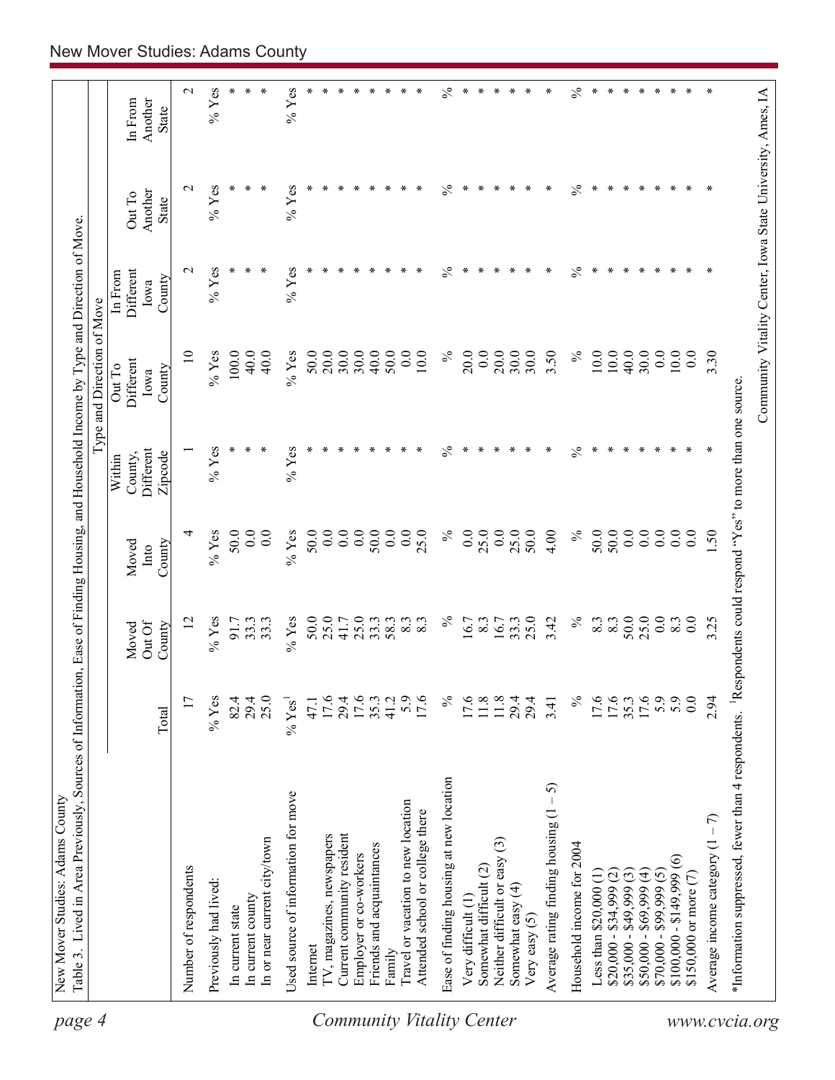| $\%$<br>$\frac{5}{6}$<br>$\mathbf{C}$<br>$%$ Yes<br>$%$ Yes<br>∗<br>∗<br>$\ast$<br>$\ast$<br>$\ast$<br>∗<br>∗<br>∗<br>$\ast$<br>∗<br>$\ast$<br>∗<br>∗<br>∗<br>∗<br>∗<br>∗<br>∗<br>∗<br>∗<br>∗<br>∗<br>∗<br>∗<br>Another<br>In From<br><b>State</b><br>$\%$ Yes<br>$%$ Yes<br>℅<br>∗<br>℅<br>$\ast$<br>∗<br>∗<br>∗<br>$\mathbf{\sim}$<br>∗<br>∗<br>⊀<br>∗<br>∗<br>∗<br>∗<br>∗<br>∗<br>Another<br>Out To<br><b>State</b><br>$\frac{5}{6}$<br>$%$ Yes<br>$%$ Yes<br>$\%$<br>$\mathbf{\sim}$<br>∗<br>∗<br>∗<br>∗<br>∗<br>∗<br>∗<br>∗<br>∗<br>Different<br>In From<br>County<br>Iowa<br>40.0<br>30.0<br>$\overline{10}$<br>$%$ Yes<br>50.0<br>20.0<br>30.0<br>50.0<br>0.0<br>$\%$<br>20.0<br>20.0<br>30.0<br>3.50<br>$\%$<br>10.0<br>$10.0$<br>$10.0$<br>0.0<br>3.30<br>100.0<br>40.0<br>40.0<br>$%$ Yes<br>30.0<br>10.0<br>0.0<br>40.0<br>30.0<br>0.0<br>Different<br>Out To<br>County<br>Iowa<br>℅<br>$\%$<br>$%$ Yes<br>∗<br>$%$ Yes<br>∗<br>∗<br>∗<br>∗<br>$\ast$<br>∗<br>∗<br>$\ast$<br>∗<br>∗<br>∗<br>∗<br>∗<br>Different<br>County,<br>Zipcode<br>Within<br>50.0<br>0.0<br>$\%$ Yes<br>50.0<br>0.0<br>50.0<br>0.0<br>0.0<br>0.0<br>50.0<br>$\%$<br>0.0<br>0.0<br>25.0<br>50.0<br>4.00<br>$\%$<br>50.0<br>0.0<br>0.0<br>0.0<br>0.0<br>1.50<br>4<br>0.0<br>$%$ Yes<br>0.0<br>0.0<br>25.0<br>25.0<br>County<br>Moved<br>Into<br>$%$ Yes<br>50.0<br>25.0<br>25.0<br>$\%$<br>25.0<br>$\%$<br>50.0<br>25.0<br>0.0<br>$\overline{0.0}$<br>$%$ Yes<br>41.7<br>33.3<br>58.3<br>16.7<br>33.3<br>3.42<br>8.3<br>8.3<br>8.3<br>3.25<br>$\overline{c}$<br>91.7<br>33.3<br>8.3<br>8.3<br>8.3<br>16.7<br>33.3<br>Out Of<br>County<br>Moved<br>17.6<br>17.6<br>17.6<br>35.3<br>5.9<br>5.9<br>17<br>$%$ Yes<br>29.4<br>25.0<br>17.6<br>29.4<br>41.2<br>5.9<br>17.6<br>$\%$<br>17.6<br>11.8<br>$11.8$<br>29.4<br>$\%$<br>0.0<br>2.94<br>82.4<br>$\%$ Yes <sup>1</sup><br>29.4<br>47.1<br>3.41<br>Total<br>Ease of finding housing at new location<br>- 5)<br>Used source of information for move<br>Travel or vacation to new location<br>Average rating finding housing (1<br>Attended school or college there<br>Average income category $(1 - 7)$<br>Current community resident<br>TV, magazines, newspapers<br>In or near current city/town<br>ල<br>Household income for 2004<br>Friends and acquaintances<br>Employer or co-workers<br>Neither difficult or easy<br>$\widehat{\circ}$<br>Somewhat difficult (2)<br>Number of respondents<br>$$50,000 - $69,999(4)$<br>$$100,000 - $149,999$<br>$$70,000 - $99,999(5)$<br>\$150,000 or more (7)<br>$$35,000 - $49,999(3)$<br>$$20,000 - $34,999$ (2)<br>Less than $$20,000$ (1)<br>Previously had lived:<br>Somewhat easy $(4)$<br>In current county<br>Very difficult (1)<br>In current state<br>Very easy $(5)$<br>Internet<br>Family | *Information suppressed, fewer than 4 respondents. Respondents could respond "Yes" to more than one source. | Community Vitality Center, Iowa State University, Ames, IA |  |  |  | Type and Direction of Move |  |  |
|-----------------------------------------------------------------------------------------------------------------------------------------------------------------------------------------------------------------------------------------------------------------------------------------------------------------------------------------------------------------------------------------------------------------------------------------------------------------------------------------------------------------------------------------------------------------------------------------------------------------------------------------------------------------------------------------------------------------------------------------------------------------------------------------------------------------------------------------------------------------------------------------------------------------------------------------------------------------------------------------------------------------------------------------------------------------------------------------------------------------------------------------------------------------------------------------------------------------------------------------------------------------------------------------------------------------------------------------------------------------------------------------------------------------------------------------------------------------------------------------------------------------------------------------------------------------------------------------------------------------------------------------------------------------------------------------------------------------------------------------------------------------------------------------------------------------------------------------------------------------------------------------------------------------------------------------------------------------------------------------------------------------------------------------------------------------------------------------------------------------------------------------------------------------------------------------------------------------------------------------------------------------------------------------------------------------------------------------------------------------------------------------------------------------------------------------------------------------------------------------------------------------------------------------------------------------------------------------------------------------------------------------------------------------------------------------------------------------------------------------------------------------------------|-------------------------------------------------------------------------------------------------------------|------------------------------------------------------------|--|--|--|----------------------------|--|--|
|                                                                                                                                                                                                                                                                                                                                                                                                                                                                                                                                                                                                                                                                                                                                                                                                                                                                                                                                                                                                                                                                                                                                                                                                                                                                                                                                                                                                                                                                                                                                                                                                                                                                                                                                                                                                                                                                                                                                                                                                                                                                                                                                                                                                                                                                                                                                                                                                                                                                                                                                                                                                                                                                                                                                                                             |                                                                                                             |                                                            |  |  |  |                            |  |  |
|                                                                                                                                                                                                                                                                                                                                                                                                                                                                                                                                                                                                                                                                                                                                                                                                                                                                                                                                                                                                                                                                                                                                                                                                                                                                                                                                                                                                                                                                                                                                                                                                                                                                                                                                                                                                                                                                                                                                                                                                                                                                                                                                                                                                                                                                                                                                                                                                                                                                                                                                                                                                                                                                                                                                                                             |                                                                                                             |                                                            |  |  |  |                            |  |  |
|                                                                                                                                                                                                                                                                                                                                                                                                                                                                                                                                                                                                                                                                                                                                                                                                                                                                                                                                                                                                                                                                                                                                                                                                                                                                                                                                                                                                                                                                                                                                                                                                                                                                                                                                                                                                                                                                                                                                                                                                                                                                                                                                                                                                                                                                                                                                                                                                                                                                                                                                                                                                                                                                                                                                                                             |                                                                                                             |                                                            |  |  |  |                            |  |  |
|                                                                                                                                                                                                                                                                                                                                                                                                                                                                                                                                                                                                                                                                                                                                                                                                                                                                                                                                                                                                                                                                                                                                                                                                                                                                                                                                                                                                                                                                                                                                                                                                                                                                                                                                                                                                                                                                                                                                                                                                                                                                                                                                                                                                                                                                                                                                                                                                                                                                                                                                                                                                                                                                                                                                                                             |                                                                                                             |                                                            |  |  |  |                            |  |  |
|                                                                                                                                                                                                                                                                                                                                                                                                                                                                                                                                                                                                                                                                                                                                                                                                                                                                                                                                                                                                                                                                                                                                                                                                                                                                                                                                                                                                                                                                                                                                                                                                                                                                                                                                                                                                                                                                                                                                                                                                                                                                                                                                                                                                                                                                                                                                                                                                                                                                                                                                                                                                                                                                                                                                                                             |                                                                                                             |                                                            |  |  |  |                            |  |  |
|                                                                                                                                                                                                                                                                                                                                                                                                                                                                                                                                                                                                                                                                                                                                                                                                                                                                                                                                                                                                                                                                                                                                                                                                                                                                                                                                                                                                                                                                                                                                                                                                                                                                                                                                                                                                                                                                                                                                                                                                                                                                                                                                                                                                                                                                                                                                                                                                                                                                                                                                                                                                                                                                                                                                                                             |                                                                                                             |                                                            |  |  |  |                            |  |  |
|                                                                                                                                                                                                                                                                                                                                                                                                                                                                                                                                                                                                                                                                                                                                                                                                                                                                                                                                                                                                                                                                                                                                                                                                                                                                                                                                                                                                                                                                                                                                                                                                                                                                                                                                                                                                                                                                                                                                                                                                                                                                                                                                                                                                                                                                                                                                                                                                                                                                                                                                                                                                                                                                                                                                                                             |                                                                                                             |                                                            |  |  |  |                            |  |  |
|                                                                                                                                                                                                                                                                                                                                                                                                                                                                                                                                                                                                                                                                                                                                                                                                                                                                                                                                                                                                                                                                                                                                                                                                                                                                                                                                                                                                                                                                                                                                                                                                                                                                                                                                                                                                                                                                                                                                                                                                                                                                                                                                                                                                                                                                                                                                                                                                                                                                                                                                                                                                                                                                                                                                                                             |                                                                                                             |                                                            |  |  |  |                            |  |  |
|                                                                                                                                                                                                                                                                                                                                                                                                                                                                                                                                                                                                                                                                                                                                                                                                                                                                                                                                                                                                                                                                                                                                                                                                                                                                                                                                                                                                                                                                                                                                                                                                                                                                                                                                                                                                                                                                                                                                                                                                                                                                                                                                                                                                                                                                                                                                                                                                                                                                                                                                                                                                                                                                                                                                                                             |                                                                                                             |                                                            |  |  |  |                            |  |  |
|                                                                                                                                                                                                                                                                                                                                                                                                                                                                                                                                                                                                                                                                                                                                                                                                                                                                                                                                                                                                                                                                                                                                                                                                                                                                                                                                                                                                                                                                                                                                                                                                                                                                                                                                                                                                                                                                                                                                                                                                                                                                                                                                                                                                                                                                                                                                                                                                                                                                                                                                                                                                                                                                                                                                                                             |                                                                                                             |                                                            |  |  |  |                            |  |  |
|                                                                                                                                                                                                                                                                                                                                                                                                                                                                                                                                                                                                                                                                                                                                                                                                                                                                                                                                                                                                                                                                                                                                                                                                                                                                                                                                                                                                                                                                                                                                                                                                                                                                                                                                                                                                                                                                                                                                                                                                                                                                                                                                                                                                                                                                                                                                                                                                                                                                                                                                                                                                                                                                                                                                                                             |                                                                                                             |                                                            |  |  |  |                            |  |  |
|                                                                                                                                                                                                                                                                                                                                                                                                                                                                                                                                                                                                                                                                                                                                                                                                                                                                                                                                                                                                                                                                                                                                                                                                                                                                                                                                                                                                                                                                                                                                                                                                                                                                                                                                                                                                                                                                                                                                                                                                                                                                                                                                                                                                                                                                                                                                                                                                                                                                                                                                                                                                                                                                                                                                                                             |                                                                                                             |                                                            |  |  |  |                            |  |  |
|                                                                                                                                                                                                                                                                                                                                                                                                                                                                                                                                                                                                                                                                                                                                                                                                                                                                                                                                                                                                                                                                                                                                                                                                                                                                                                                                                                                                                                                                                                                                                                                                                                                                                                                                                                                                                                                                                                                                                                                                                                                                                                                                                                                                                                                                                                                                                                                                                                                                                                                                                                                                                                                                                                                                                                             |                                                                                                             |                                                            |  |  |  |                            |  |  |
|                                                                                                                                                                                                                                                                                                                                                                                                                                                                                                                                                                                                                                                                                                                                                                                                                                                                                                                                                                                                                                                                                                                                                                                                                                                                                                                                                                                                                                                                                                                                                                                                                                                                                                                                                                                                                                                                                                                                                                                                                                                                                                                                                                                                                                                                                                                                                                                                                                                                                                                                                                                                                                                                                                                                                                             |                                                                                                             |                                                            |  |  |  |                            |  |  |
|                                                                                                                                                                                                                                                                                                                                                                                                                                                                                                                                                                                                                                                                                                                                                                                                                                                                                                                                                                                                                                                                                                                                                                                                                                                                                                                                                                                                                                                                                                                                                                                                                                                                                                                                                                                                                                                                                                                                                                                                                                                                                                                                                                                                                                                                                                                                                                                                                                                                                                                                                                                                                                                                                                                                                                             |                                                                                                             |                                                            |  |  |  |                            |  |  |
|                                                                                                                                                                                                                                                                                                                                                                                                                                                                                                                                                                                                                                                                                                                                                                                                                                                                                                                                                                                                                                                                                                                                                                                                                                                                                                                                                                                                                                                                                                                                                                                                                                                                                                                                                                                                                                                                                                                                                                                                                                                                                                                                                                                                                                                                                                                                                                                                                                                                                                                                                                                                                                                                                                                                                                             |                                                                                                             |                                                            |  |  |  |                            |  |  |
|                                                                                                                                                                                                                                                                                                                                                                                                                                                                                                                                                                                                                                                                                                                                                                                                                                                                                                                                                                                                                                                                                                                                                                                                                                                                                                                                                                                                                                                                                                                                                                                                                                                                                                                                                                                                                                                                                                                                                                                                                                                                                                                                                                                                                                                                                                                                                                                                                                                                                                                                                                                                                                                                                                                                                                             |                                                                                                             |                                                            |  |  |  |                            |  |  |
|                                                                                                                                                                                                                                                                                                                                                                                                                                                                                                                                                                                                                                                                                                                                                                                                                                                                                                                                                                                                                                                                                                                                                                                                                                                                                                                                                                                                                                                                                                                                                                                                                                                                                                                                                                                                                                                                                                                                                                                                                                                                                                                                                                                                                                                                                                                                                                                                                                                                                                                                                                                                                                                                                                                                                                             |                                                                                                             |                                                            |  |  |  |                            |  |  |
|                                                                                                                                                                                                                                                                                                                                                                                                                                                                                                                                                                                                                                                                                                                                                                                                                                                                                                                                                                                                                                                                                                                                                                                                                                                                                                                                                                                                                                                                                                                                                                                                                                                                                                                                                                                                                                                                                                                                                                                                                                                                                                                                                                                                                                                                                                                                                                                                                                                                                                                                                                                                                                                                                                                                                                             |                                                                                                             |                                                            |  |  |  |                            |  |  |
|                                                                                                                                                                                                                                                                                                                                                                                                                                                                                                                                                                                                                                                                                                                                                                                                                                                                                                                                                                                                                                                                                                                                                                                                                                                                                                                                                                                                                                                                                                                                                                                                                                                                                                                                                                                                                                                                                                                                                                                                                                                                                                                                                                                                                                                                                                                                                                                                                                                                                                                                                                                                                                                                                                                                                                             |                                                                                                             |                                                            |  |  |  |                            |  |  |
|                                                                                                                                                                                                                                                                                                                                                                                                                                                                                                                                                                                                                                                                                                                                                                                                                                                                                                                                                                                                                                                                                                                                                                                                                                                                                                                                                                                                                                                                                                                                                                                                                                                                                                                                                                                                                                                                                                                                                                                                                                                                                                                                                                                                                                                                                                                                                                                                                                                                                                                                                                                                                                                                                                                                                                             |                                                                                                             |                                                            |  |  |  |                            |  |  |
|                                                                                                                                                                                                                                                                                                                                                                                                                                                                                                                                                                                                                                                                                                                                                                                                                                                                                                                                                                                                                                                                                                                                                                                                                                                                                                                                                                                                                                                                                                                                                                                                                                                                                                                                                                                                                                                                                                                                                                                                                                                                                                                                                                                                                                                                                                                                                                                                                                                                                                                                                                                                                                                                                                                                                                             |                                                                                                             |                                                            |  |  |  |                            |  |  |
|                                                                                                                                                                                                                                                                                                                                                                                                                                                                                                                                                                                                                                                                                                                                                                                                                                                                                                                                                                                                                                                                                                                                                                                                                                                                                                                                                                                                                                                                                                                                                                                                                                                                                                                                                                                                                                                                                                                                                                                                                                                                                                                                                                                                                                                                                                                                                                                                                                                                                                                                                                                                                                                                                                                                                                             |                                                                                                             |                                                            |  |  |  |                            |  |  |
|                                                                                                                                                                                                                                                                                                                                                                                                                                                                                                                                                                                                                                                                                                                                                                                                                                                                                                                                                                                                                                                                                                                                                                                                                                                                                                                                                                                                                                                                                                                                                                                                                                                                                                                                                                                                                                                                                                                                                                                                                                                                                                                                                                                                                                                                                                                                                                                                                                                                                                                                                                                                                                                                                                                                                                             |                                                                                                             |                                                            |  |  |  |                            |  |  |
|                                                                                                                                                                                                                                                                                                                                                                                                                                                                                                                                                                                                                                                                                                                                                                                                                                                                                                                                                                                                                                                                                                                                                                                                                                                                                                                                                                                                                                                                                                                                                                                                                                                                                                                                                                                                                                                                                                                                                                                                                                                                                                                                                                                                                                                                                                                                                                                                                                                                                                                                                                                                                                                                                                                                                                             |                                                                                                             |                                                            |  |  |  |                            |  |  |
|                                                                                                                                                                                                                                                                                                                                                                                                                                                                                                                                                                                                                                                                                                                                                                                                                                                                                                                                                                                                                                                                                                                                                                                                                                                                                                                                                                                                                                                                                                                                                                                                                                                                                                                                                                                                                                                                                                                                                                                                                                                                                                                                                                                                                                                                                                                                                                                                                                                                                                                                                                                                                                                                                                                                                                             |                                                                                                             |                                                            |  |  |  |                            |  |  |
|                                                                                                                                                                                                                                                                                                                                                                                                                                                                                                                                                                                                                                                                                                                                                                                                                                                                                                                                                                                                                                                                                                                                                                                                                                                                                                                                                                                                                                                                                                                                                                                                                                                                                                                                                                                                                                                                                                                                                                                                                                                                                                                                                                                                                                                                                                                                                                                                                                                                                                                                                                                                                                                                                                                                                                             |                                                                                                             |                                                            |  |  |  |                            |  |  |
|                                                                                                                                                                                                                                                                                                                                                                                                                                                                                                                                                                                                                                                                                                                                                                                                                                                                                                                                                                                                                                                                                                                                                                                                                                                                                                                                                                                                                                                                                                                                                                                                                                                                                                                                                                                                                                                                                                                                                                                                                                                                                                                                                                                                                                                                                                                                                                                                                                                                                                                                                                                                                                                                                                                                                                             |                                                                                                             |                                                            |  |  |  |                            |  |  |
|                                                                                                                                                                                                                                                                                                                                                                                                                                                                                                                                                                                                                                                                                                                                                                                                                                                                                                                                                                                                                                                                                                                                                                                                                                                                                                                                                                                                                                                                                                                                                                                                                                                                                                                                                                                                                                                                                                                                                                                                                                                                                                                                                                                                                                                                                                                                                                                                                                                                                                                                                                                                                                                                                                                                                                             |                                                                                                             |                                                            |  |  |  |                            |  |  |
|                                                                                                                                                                                                                                                                                                                                                                                                                                                                                                                                                                                                                                                                                                                                                                                                                                                                                                                                                                                                                                                                                                                                                                                                                                                                                                                                                                                                                                                                                                                                                                                                                                                                                                                                                                                                                                                                                                                                                                                                                                                                                                                                                                                                                                                                                                                                                                                                                                                                                                                                                                                                                                                                                                                                                                             |                                                                                                             |                                                            |  |  |  |                            |  |  |
|                                                                                                                                                                                                                                                                                                                                                                                                                                                                                                                                                                                                                                                                                                                                                                                                                                                                                                                                                                                                                                                                                                                                                                                                                                                                                                                                                                                                                                                                                                                                                                                                                                                                                                                                                                                                                                                                                                                                                                                                                                                                                                                                                                                                                                                                                                                                                                                                                                                                                                                                                                                                                                                                                                                                                                             |                                                                                                             |                                                            |  |  |  |                            |  |  |
|                                                                                                                                                                                                                                                                                                                                                                                                                                                                                                                                                                                                                                                                                                                                                                                                                                                                                                                                                                                                                                                                                                                                                                                                                                                                                                                                                                                                                                                                                                                                                                                                                                                                                                                                                                                                                                                                                                                                                                                                                                                                                                                                                                                                                                                                                                                                                                                                                                                                                                                                                                                                                                                                                                                                                                             |                                                                                                             |                                                            |  |  |  |                            |  |  |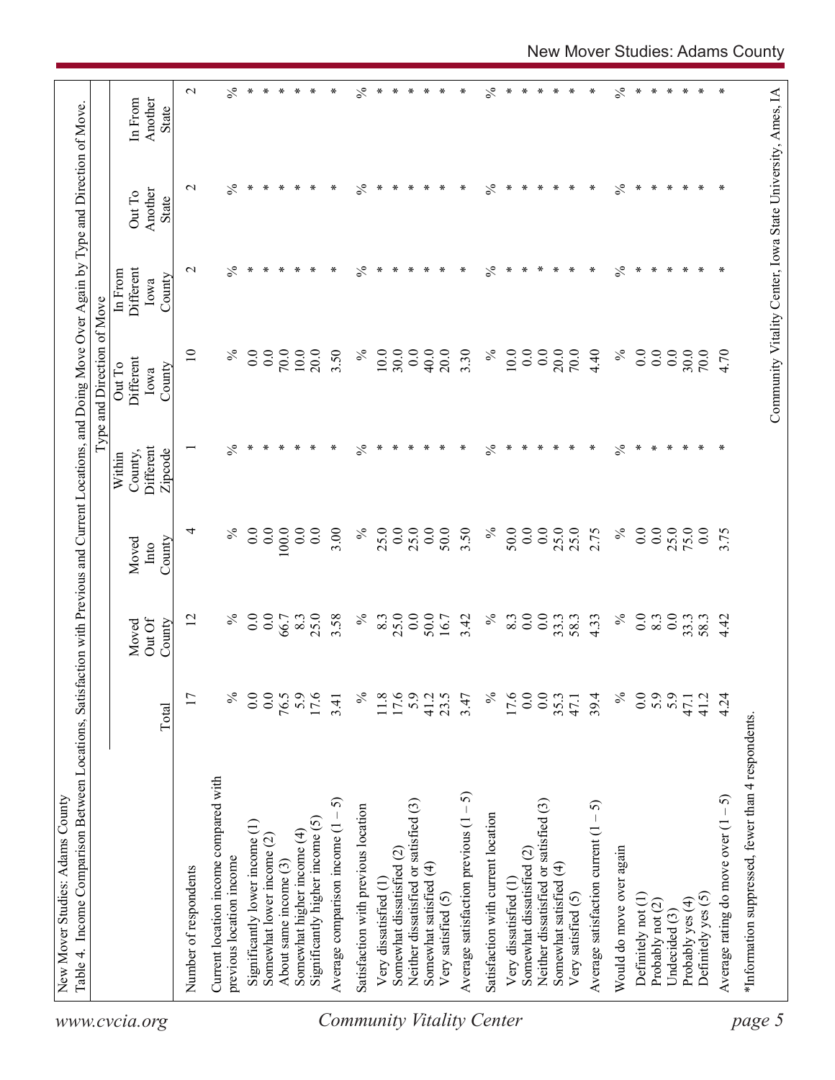|                                  | Table 4. Income Comparison Between Locations, Satisfaction with Previous and Current Locations, and Doing Move Over Again by Type and Direction of Move |                  |                           |                         |                                           | Type and Direction of Move                                 |                                        |                            |                             |
|----------------------------------|---------------------------------------------------------------------------------------------------------------------------------------------------------|------------------|---------------------------|-------------------------|-------------------------------------------|------------------------------------------------------------|----------------------------------------|----------------------------|-----------------------------|
| www.cvcia.org                    |                                                                                                                                                         | Total            | Out Of<br>Moved<br>County | County<br>Moved<br>Into | Different<br>County,<br>Zipcode<br>Within | Different<br>Out To<br>County<br>Iowa                      | Different<br>In From<br>County<br>Iowa | Another<br>Out To<br>State | Another<br>In From<br>State |
|                                  | Number of respondents                                                                                                                                   | 17               | $\overline{2}$            | 4                       |                                           | $\overline{10}$                                            | $\sim$                                 | $\mathbf{\sim}$            | $\mathbf{\sim}$             |
|                                  | Current location income compared with                                                                                                                   |                  | $\%$                      | $\%$                    |                                           | $\%$                                                       |                                        |                            |                             |
|                                  | previous location income                                                                                                                                | $\%$             |                           |                         | $\%$                                      |                                                            | $\%$                                   | $\%$                       | $\%$                        |
|                                  | Significantly lower income (1)                                                                                                                          | 0.0              | 0.0                       | 0.0                     | ∗                                         | $\overline{0}$ .                                           | ∗                                      | $\ast$                     | $\ast$                      |
|                                  | Somewhat lower income (2)                                                                                                                               | 0.0              | 0.0                       | 0.0                     | ∗                                         | 0.0                                                        | ∗                                      | ∗                          | $\ast$                      |
|                                  | About same income (3)                                                                                                                                   | 76.5             | 66.7                      | 100.0                   | ∗                                         | $70.0$                                                     | ∗                                      | ∗                          | ∗                           |
|                                  | Somewhat higher income (4)                                                                                                                              | 5.9              | 8.3                       | $\overline{0}$ .        | ∗                                         | 10.0                                                       | ∗                                      | ∗                          | $\ast$                      |
|                                  | Significantly higher income (5)                                                                                                                         | 17.6             | 25.0                      | 0.0                     | ∗                                         | 20.0                                                       | ∗                                      | ∗                          | $\ast$                      |
|                                  | 5<br>Average comparison income $(1 -$                                                                                                                   | 3.41             | 3.58                      | 3.00                    | ∗                                         | 3.50                                                       | ∗                                      | ∗                          | ∗                           |
|                                  | Satisfaction with previous location                                                                                                                     | $\%$             | $\%$                      | $\%$                    | $\%$                                      | $\%$                                                       | $\frac{5}{6}$                          | $\frac{5}{6}$              | $\frac{6}{6}$               |
|                                  | Very dissatisfied (1                                                                                                                                    |                  | 8.3                       | 25.0                    | ∗                                         | $10.0\,$                                                   | ∗                                      | ∗                          | ∗                           |
|                                  | Somewhat dissatisfied (2)                                                                                                                               | $11.8$<br>17.6   | 25.0                      | 0.0                     | $\ast$                                    | 30.0                                                       | ∗                                      | ∗                          | $\ast$                      |
|                                  | Neither dissatisfied or satisfied (3)                                                                                                                   | 5.9              | 0.0                       | 25.0                    | ∗                                         | 0.0                                                        | ∗                                      | ∗                          | $\ast$                      |
|                                  | Somewhat satisfied (4)                                                                                                                                  | 41.2             | 50.0                      | 0.0                     | ∗                                         | 40.0                                                       | ∗                                      | ∗                          | $\ast$                      |
|                                  | Very satisfied (5)                                                                                                                                      | 23.5             | 16.7                      | 50.0                    | ∗                                         | 20.0                                                       | ∗                                      | ∗                          | $\ast$                      |
| <b>Community Vitality Center</b> | Average satisfaction previous $(1 - 5)$                                                                                                                 | 3.47             | 3.42                      | 3.50                    | ∗                                         | 3.30                                                       | ∗                                      | ∗                          | ∗                           |
|                                  | Satisfaction with current location                                                                                                                      | $\%$             | $\%$                      | $\%$                    | $\%$                                      | $\frac{5}{6}$                                              | $\%$                                   | $\%$                       | $\%$                        |
|                                  | Very dissatisfied (1                                                                                                                                    | 17.6             | 8.3                       | 50.0                    | ∗                                         | 10.0                                                       | ∗                                      | ∗                          | ∗                           |
|                                  | Somewhat dissatisfied (2)                                                                                                                               | 0.0              | 0.0                       | 0.0                     | ∗                                         | 0.0                                                        | ∗                                      | ∗                          | $\ast$                      |
|                                  | Neither dissatisfied or satisfied (3)                                                                                                                   | 0.0              | $0.0\,$                   | 0.0                     | $\ast$                                    | 0.0                                                        | ∗                                      | $\ast$                     | $\ast$                      |
|                                  | Somewhat satisfied (4)                                                                                                                                  | 35.3             | 33.3                      | 25.0                    | ∗                                         | 20.0                                                       | ∗                                      | ∗                          | ∗                           |
|                                  | Very satisfied (5)                                                                                                                                      | 47.1             | 58.3                      | 25.0                    | $\ast$                                    | 70.0                                                       | ∗                                      | ∗                          | $\ast$                      |
|                                  | Average satisfaction current $(1 - 5)$                                                                                                                  | 39.4             | 4.33                      | 2.75                    | ∗                                         | 4.40                                                       | ∗                                      | ∗                          | ∗                           |
|                                  | Would do move over again                                                                                                                                | $\%$             | $\%$                      | $\%$                    | $\%$                                      | $\%$                                                       | $\frac{5}{6}$                          | $\frac{5}{6}$              | $\frac{5}{6}$               |
|                                  | Definitely not (1)                                                                                                                                      | $\overline{0}$ . | 0.0                       | 0.0                     | ∗                                         | 0.0                                                        | ∗                                      | ∗                          | ∗                           |
|                                  | Probably not (2)                                                                                                                                        |                  | 8.3                       | 0.0                     | $\ast$                                    | $\overline{0.0}$                                           | $\ast$                                 | $\ast$                     | $\ast$                      |
|                                  | Undecided (3)                                                                                                                                           | $5.9$<br>$47.1$  | 0.0                       | 25.0                    | $\ast$                                    | $0.0\,$                                                    | $\ast$                                 | ∗                          | $\ast$                      |
|                                  | Probably yes (4)                                                                                                                                        |                  | 33.3                      | 75.0                    | $\ast$                                    | 30.0                                                       | $\ast$                                 | ∗                          | $\ast$                      |
|                                  | Definitely yes (5)                                                                                                                                      | 41.2             | 58.3                      | 0.0                     | ∗                                         | 70.0                                                       | ∗                                      | ∗                          | ∗                           |
|                                  | Average rating do move over $(1 - 5)$                                                                                                                   | 4.24             | 4.42                      | 3.75                    | ∗                                         | 4.70                                                       | ∗                                      | ∗                          | ∗                           |
| page 5                           | *Information suppressed, fewer than 4 respondents.                                                                                                      |                  |                           |                         |                                           |                                                            |                                        |                            |                             |
|                                  |                                                                                                                                                         |                  |                           |                         |                                           | Community Vitality Center, Iowa State University, Ames, IA |                                        |                            |                             |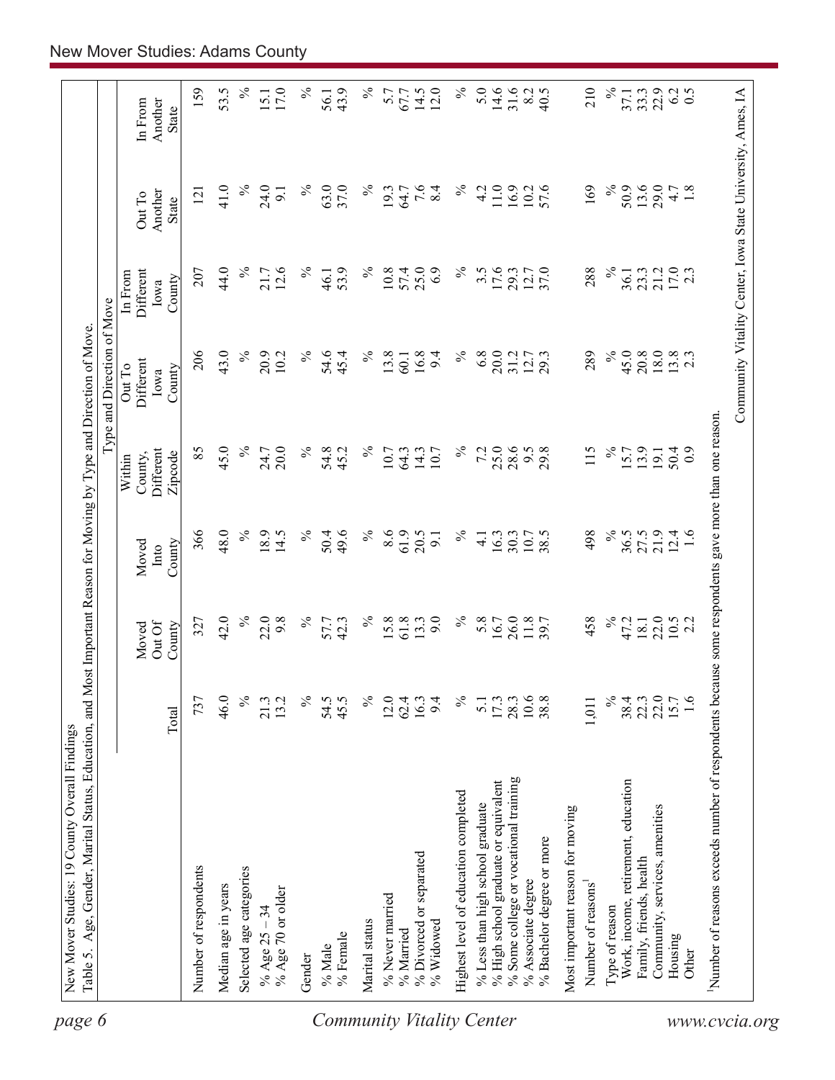| $\approx$<br>$\%$<br>$\%$<br>$\approx$<br>50.9<br>41.0<br>24.0<br>℅<br>63.0<br>37.0<br>$7.\overline{6}$<br>8.4<br>11.0<br>16.9<br>57.6<br>169<br>13.6<br>29.0<br>19.3<br>64.7<br>4.2<br>$4.\overline{7}$<br>1.8<br>9.1<br>10.2<br>121<br>Another<br>Out To<br>State<br>$\%$<br>44.0<br>$\%$<br>17.6<br>$\%$<br>17.0<br>2.3<br>12.6<br>℅<br>53.9<br>57.4<br>25.0<br>6.9<br>$\%$<br>$3.\overline{5}$<br>37.0<br>288<br>21.2<br>207<br>21.7<br>10.8<br>29.3<br>23.3<br><b>Different</b><br>12.7<br>36.1<br>46.1<br>In From<br>County<br>Iowa<br>43.0<br>$\%$<br>206<br>$\%$<br>$\%$<br>$\%$<br>45.0<br>$13.8$<br>2.3<br>20.9<br>$\%$<br>54.6<br>13.8<br>16.8<br>6.8<br>20.0<br>289<br>20.8<br>18.0<br>10.2<br>45.4<br>9.4<br>31.2<br>12.7<br>29.3<br>60.1<br>Different<br>Out To<br>County<br>Iowa<br>$\%$<br>85<br>45.0<br>$\%$<br>$\%$<br>25.0<br>$\%$<br>7.2<br>28.6<br>115<br>20.0<br>$\%$<br>54.8<br>45.2<br>9.5<br>29.8<br>13.9<br>24.7<br>10.7<br>64.3<br>14.3<br>10.7<br>15.7<br>50.4<br>Different<br>$\overline{0}$<br>191<br>Zipcode<br>County,<br>Within<br>48.0<br>$\%$<br>61.9<br>366<br>18.9<br>49.6<br>$\%$<br>8.6<br>20.5<br>$\%$<br>498<br>$\%$<br>27.5<br>21.9<br>14.5<br>$\%$<br>50.4<br>10.7<br>38.5<br>36.5<br>12.4<br>1.6<br>16.3<br>30.3<br>$\overline{4}$<br>$\overline{9}$<br>County<br>Moved<br>Into<br>$\%$<br>$\%$<br>$\%$<br>$\%$<br>22.0<br>42.0<br>22.0<br>9.8<br>$\%$<br>61.8<br>9.0<br>5.8<br>26.0<br>458<br>57.7<br>42.3<br>15.8<br>13.3<br>11.8<br>47.2<br>16.7<br>18.1<br>$10.5$<br>2.2<br>327<br>Out Of<br>County<br>Moved<br>$\frac{5}{6}$<br>$\%$<br>$\frac{173}{2800}$<br>$\frac{3}{1008}$<br>℅<br>22.3<br>22.0<br>15.7<br>1.6<br>46.0<br>13.2<br>$\%$<br>54.5<br>45.5<br>$12.0$<br>62.4<br>$\%$<br>38.4<br>737<br>21.3<br>16.3<br>9.4<br>5.1<br>1,011<br>Total<br>% Some college or vocational training<br>% High school graduate or equivalent<br>Work, income, retirement, education<br>Highest level of education completed<br>% Less than high school graduate<br>Community, services, amenities<br>Most important reason for moving<br>% Bachelor degree or more<br>% Divorced or separated<br>Family, friends, health<br>Number of respondents<br>Selected age categories<br>% Associate degree<br>Number of reasons<br>Median age in years<br>% Age 70 or older<br>% Never married<br>Type of reason<br>% Age $25 - 34$<br>Marital status<br>% Widowed<br>% Married<br>% Female<br>Housing<br>% Male<br>Other<br>Gender | Number of reasons exceeds number of respondents because some respondents gave more than one reason. |  |  | Type and Direction of Move |  |                                    |
|----------------------------------------------------------------------------------------------------------------------------------------------------------------------------------------------------------------------------------------------------------------------------------------------------------------------------------------------------------------------------------------------------------------------------------------------------------------------------------------------------------------------------------------------------------------------------------------------------------------------------------------------------------------------------------------------------------------------------------------------------------------------------------------------------------------------------------------------------------------------------------------------------------------------------------------------------------------------------------------------------------------------------------------------------------------------------------------------------------------------------------------------------------------------------------------------------------------------------------------------------------------------------------------------------------------------------------------------------------------------------------------------------------------------------------------------------------------------------------------------------------------------------------------------------------------------------------------------------------------------------------------------------------------------------------------------------------------------------------------------------------------------------------------------------------------------------------------------------------------------------------------------------------------------------------------------------------------------------------------------------------------------------------------------------------------------------------------------------------------------------------------------------------------------------------------------------------------------------------------------------------------------------------------------------------------------------------------------------------------------------------------------------------------------------------------------------------------------|-----------------------------------------------------------------------------------------------------|--|--|----------------------------|--|------------------------------------|
| 159                                                                                                                                                                                                                                                                                                                                                                                                                                                                                                                                                                                                                                                                                                                                                                                                                                                                                                                                                                                                                                                                                                                                                                                                                                                                                                                                                                                                                                                                                                                                                                                                                                                                                                                                                                                                                                                                                                                                                                                                                                                                                                                                                                                                                                                                                                                                                                                                                                                                  |                                                                                                     |  |  |                            |  | In From<br>Another<br><b>State</b> |
|                                                                                                                                                                                                                                                                                                                                                                                                                                                                                                                                                                                                                                                                                                                                                                                                                                                                                                                                                                                                                                                                                                                                                                                                                                                                                                                                                                                                                                                                                                                                                                                                                                                                                                                                                                                                                                                                                                                                                                                                                                                                                                                                                                                                                                                                                                                                                                                                                                                                      |                                                                                                     |  |  |                            |  |                                    |
| 5.0<br>14.6<br>31.6<br>17.0<br>43.9<br>$14.5$<br>12.0<br>8.2<br>40.5<br>210<br>33.3<br>5.7<br>67.7<br>37.1<br>15.1<br>56.1                                                                                                                                                                                                                                                                                                                                                                                                                                                                                                                                                                                                                                                                                                                                                                                                                                                                                                                                                                                                                                                                                                                                                                                                                                                                                                                                                                                                                                                                                                                                                                                                                                                                                                                                                                                                                                                                                                                                                                                                                                                                                                                                                                                                                                                                                                                                           |                                                                                                     |  |  |                            |  | 53.5                               |
|                                                                                                                                                                                                                                                                                                                                                                                                                                                                                                                                                                                                                                                                                                                                                                                                                                                                                                                                                                                                                                                                                                                                                                                                                                                                                                                                                                                                                                                                                                                                                                                                                                                                                                                                                                                                                                                                                                                                                                                                                                                                                                                                                                                                                                                                                                                                                                                                                                                                      |                                                                                                     |  |  |                            |  |                                    |
|                                                                                                                                                                                                                                                                                                                                                                                                                                                                                                                                                                                                                                                                                                                                                                                                                                                                                                                                                                                                                                                                                                                                                                                                                                                                                                                                                                                                                                                                                                                                                                                                                                                                                                                                                                                                                                                                                                                                                                                                                                                                                                                                                                                                                                                                                                                                                                                                                                                                      |                                                                                                     |  |  |                            |  |                                    |
|                                                                                                                                                                                                                                                                                                                                                                                                                                                                                                                                                                                                                                                                                                                                                                                                                                                                                                                                                                                                                                                                                                                                                                                                                                                                                                                                                                                                                                                                                                                                                                                                                                                                                                                                                                                                                                                                                                                                                                                                                                                                                                                                                                                                                                                                                                                                                                                                                                                                      |                                                                                                     |  |  |                            |  |                                    |
|                                                                                                                                                                                                                                                                                                                                                                                                                                                                                                                                                                                                                                                                                                                                                                                                                                                                                                                                                                                                                                                                                                                                                                                                                                                                                                                                                                                                                                                                                                                                                                                                                                                                                                                                                                                                                                                                                                                                                                                                                                                                                                                                                                                                                                                                                                                                                                                                                                                                      |                                                                                                     |  |  |                            |  |                                    |
|                                                                                                                                                                                                                                                                                                                                                                                                                                                                                                                                                                                                                                                                                                                                                                                                                                                                                                                                                                                                                                                                                                                                                                                                                                                                                                                                                                                                                                                                                                                                                                                                                                                                                                                                                                                                                                                                                                                                                                                                                                                                                                                                                                                                                                                                                                                                                                                                                                                                      |                                                                                                     |  |  |                            |  |                                    |
|                                                                                                                                                                                                                                                                                                                                                                                                                                                                                                                                                                                                                                                                                                                                                                                                                                                                                                                                                                                                                                                                                                                                                                                                                                                                                                                                                                                                                                                                                                                                                                                                                                                                                                                                                                                                                                                                                                                                                                                                                                                                                                                                                                                                                                                                                                                                                                                                                                                                      |                                                                                                     |  |  |                            |  |                                    |
|                                                                                                                                                                                                                                                                                                                                                                                                                                                                                                                                                                                                                                                                                                                                                                                                                                                                                                                                                                                                                                                                                                                                                                                                                                                                                                                                                                                                                                                                                                                                                                                                                                                                                                                                                                                                                                                                                                                                                                                                                                                                                                                                                                                                                                                                                                                                                                                                                                                                      |                                                                                                     |  |  |                            |  |                                    |
|                                                                                                                                                                                                                                                                                                                                                                                                                                                                                                                                                                                                                                                                                                                                                                                                                                                                                                                                                                                                                                                                                                                                                                                                                                                                                                                                                                                                                                                                                                                                                                                                                                                                                                                                                                                                                                                                                                                                                                                                                                                                                                                                                                                                                                                                                                                                                                                                                                                                      |                                                                                                     |  |  |                            |  |                                    |
|                                                                                                                                                                                                                                                                                                                                                                                                                                                                                                                                                                                                                                                                                                                                                                                                                                                                                                                                                                                                                                                                                                                                                                                                                                                                                                                                                                                                                                                                                                                                                                                                                                                                                                                                                                                                                                                                                                                                                                                                                                                                                                                                                                                                                                                                                                                                                                                                                                                                      |                                                                                                     |  |  |                            |  |                                    |
|                                                                                                                                                                                                                                                                                                                                                                                                                                                                                                                                                                                                                                                                                                                                                                                                                                                                                                                                                                                                                                                                                                                                                                                                                                                                                                                                                                                                                                                                                                                                                                                                                                                                                                                                                                                                                                                                                                                                                                                                                                                                                                                                                                                                                                                                                                                                                                                                                                                                      |                                                                                                     |  |  |                            |  |                                    |
|                                                                                                                                                                                                                                                                                                                                                                                                                                                                                                                                                                                                                                                                                                                                                                                                                                                                                                                                                                                                                                                                                                                                                                                                                                                                                                                                                                                                                                                                                                                                                                                                                                                                                                                                                                                                                                                                                                                                                                                                                                                                                                                                                                                                                                                                                                                                                                                                                                                                      |                                                                                                     |  |  |                            |  |                                    |
|                                                                                                                                                                                                                                                                                                                                                                                                                                                                                                                                                                                                                                                                                                                                                                                                                                                                                                                                                                                                                                                                                                                                                                                                                                                                                                                                                                                                                                                                                                                                                                                                                                                                                                                                                                                                                                                                                                                                                                                                                                                                                                                                                                                                                                                                                                                                                                                                                                                                      |                                                                                                     |  |  |                            |  |                                    |
|                                                                                                                                                                                                                                                                                                                                                                                                                                                                                                                                                                                                                                                                                                                                                                                                                                                                                                                                                                                                                                                                                                                                                                                                                                                                                                                                                                                                                                                                                                                                                                                                                                                                                                                                                                                                                                                                                                                                                                                                                                                                                                                                                                                                                                                                                                                                                                                                                                                                      |                                                                                                     |  |  |                            |  |                                    |
|                                                                                                                                                                                                                                                                                                                                                                                                                                                                                                                                                                                                                                                                                                                                                                                                                                                                                                                                                                                                                                                                                                                                                                                                                                                                                                                                                                                                                                                                                                                                                                                                                                                                                                                                                                                                                                                                                                                                                                                                                                                                                                                                                                                                                                                                                                                                                                                                                                                                      |                                                                                                     |  |  |                            |  |                                    |
|                                                                                                                                                                                                                                                                                                                                                                                                                                                                                                                                                                                                                                                                                                                                                                                                                                                                                                                                                                                                                                                                                                                                                                                                                                                                                                                                                                                                                                                                                                                                                                                                                                                                                                                                                                                                                                                                                                                                                                                                                                                                                                                                                                                                                                                                                                                                                                                                                                                                      |                                                                                                     |  |  |                            |  |                                    |
|                                                                                                                                                                                                                                                                                                                                                                                                                                                                                                                                                                                                                                                                                                                                                                                                                                                                                                                                                                                                                                                                                                                                                                                                                                                                                                                                                                                                                                                                                                                                                                                                                                                                                                                                                                                                                                                                                                                                                                                                                                                                                                                                                                                                                                                                                                                                                                                                                                                                      |                                                                                                     |  |  |                            |  |                                    |
|                                                                                                                                                                                                                                                                                                                                                                                                                                                                                                                                                                                                                                                                                                                                                                                                                                                                                                                                                                                                                                                                                                                                                                                                                                                                                                                                                                                                                                                                                                                                                                                                                                                                                                                                                                                                                                                                                                                                                                                                                                                                                                                                                                                                                                                                                                                                                                                                                                                                      |                                                                                                     |  |  |                            |  |                                    |
|                                                                                                                                                                                                                                                                                                                                                                                                                                                                                                                                                                                                                                                                                                                                                                                                                                                                                                                                                                                                                                                                                                                                                                                                                                                                                                                                                                                                                                                                                                                                                                                                                                                                                                                                                                                                                                                                                                                                                                                                                                                                                                                                                                                                                                                                                                                                                                                                                                                                      |                                                                                                     |  |  |                            |  |                                    |
| 6.2                                                                                                                                                                                                                                                                                                                                                                                                                                                                                                                                                                                                                                                                                                                                                                                                                                                                                                                                                                                                                                                                                                                                                                                                                                                                                                                                                                                                                                                                                                                                                                                                                                                                                                                                                                                                                                                                                                                                                                                                                                                                                                                                                                                                                                                                                                                                                                                                                                                                  |                                                                                                     |  |  |                            |  |                                    |
|                                                                                                                                                                                                                                                                                                                                                                                                                                                                                                                                                                                                                                                                                                                                                                                                                                                                                                                                                                                                                                                                                                                                                                                                                                                                                                                                                                                                                                                                                                                                                                                                                                                                                                                                                                                                                                                                                                                                                                                                                                                                                                                                                                                                                                                                                                                                                                                                                                                                      |                                                                                                     |  |  |                            |  |                                    |
|                                                                                                                                                                                                                                                                                                                                                                                                                                                                                                                                                                                                                                                                                                                                                                                                                                                                                                                                                                                                                                                                                                                                                                                                                                                                                                                                                                                                                                                                                                                                                                                                                                                                                                                                                                                                                                                                                                                                                                                                                                                                                                                                                                                                                                                                                                                                                                                                                                                                      |                                                                                                     |  |  |                            |  |                                    |
|                                                                                                                                                                                                                                                                                                                                                                                                                                                                                                                                                                                                                                                                                                                                                                                                                                                                                                                                                                                                                                                                                                                                                                                                                                                                                                                                                                                                                                                                                                                                                                                                                                                                                                                                                                                                                                                                                                                                                                                                                                                                                                                                                                                                                                                                                                                                                                                                                                                                      |                                                                                                     |  |  |                            |  | 0.5                                |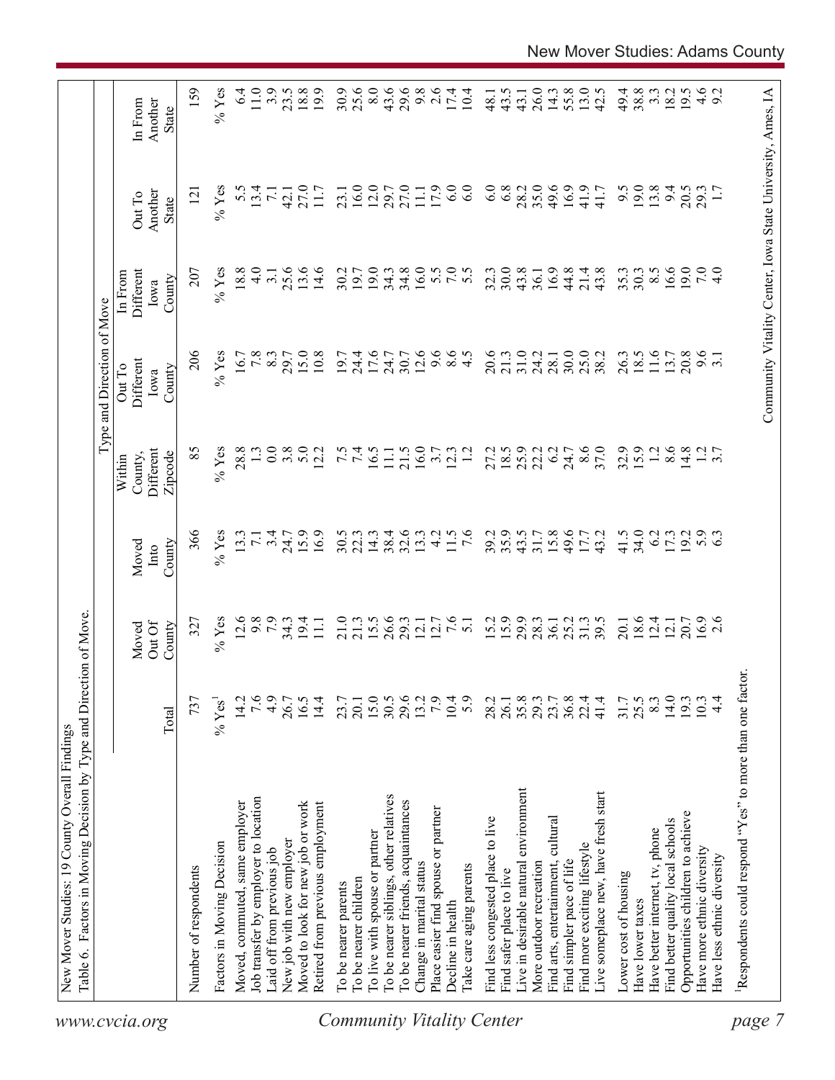|                                  | Table 6. Factors in Moving Decision by Type and Direction of Move. |                  |                           |                         |                                           | Type and Direction of Move            |                                        |                                                            |                                    |
|----------------------------------|--------------------------------------------------------------------|------------------|---------------------------|-------------------------|-------------------------------------------|---------------------------------------|----------------------------------------|------------------------------------------------------------|------------------------------------|
| www.cvcia.org                    |                                                                    | Total            | Out Of<br>County<br>Moved | County<br>Moved<br>Into | Different<br>Zipcode<br>County,<br>Within | Different<br>Out To<br>County<br>Iowa | Different<br>In From<br>County<br>Iowa | Another<br>Out To<br>State                                 | Another<br>In From<br><b>State</b> |
|                                  | Number of respondents                                              | 737              | 327                       | 366                     | 85                                        | 206                                   | 207                                    | $\overline{2}$                                             | 159                                |
|                                  | Factors in Moving Decision                                         | $\%$ Yes         | $%$ Yes                   | $%$ Yes                 | $%$ Yes                                   | $%$ Yes                               | $%$ Yes                                | $%$ Yes                                                    | $%$ Yes                            |
|                                  | Moved, commuted, same employer                                     | 14.2             | 12.6                      | 13.3                    | 28.8                                      | 16.7                                  | 18.8                                   | 5.5                                                        | 6.4                                |
|                                  | Job transfer by employer to location                               | 7.6              | 9.8                       | $\overline{7.1}$        |                                           | 7.8                                   | $\frac{0}{4}$                          | 13.4                                                       | 11.0                               |
|                                  | Laid off from previous job                                         | 4.9              | 7.9                       | 3.4                     | 0.0                                       | 8.3                                   | 3.1                                    | $\overline{71}$                                            | 3.9                                |
|                                  | New job with new employer                                          | 26.7             | $34.3$<br>19.4            | 24.7                    | 3.8                                       | 29.7                                  | 25.6                                   | 42.1                                                       | 23.5                               |
|                                  | Moved to look for new job or work                                  | 16.5             |                           | 15.9                    | 5.0                                       | 15.0                                  | 13.6                                   | 27.0                                                       | 18.8                               |
|                                  | Retired from previous employment                                   | 14.4             | $\Xi$                     | 16.9                    | 12.2                                      | 10.8                                  | 14.6                                   | 11.7                                                       | 19.9                               |
|                                  | To be nearer parents                                               | 23.7             | 21.0                      | 30.5                    |                                           | 19.7                                  | 30.2                                   | 23.1                                                       | 30.9                               |
|                                  | To be nearer children                                              | 20.1             | 21.3                      | 22.3                    | $7.\overline{5}$                          | 24.4                                  | 19.7                                   | 16.0                                                       | 25.6                               |
|                                  | To live with spouse or partner                                     |                  | 15.5                      | 14.3                    | 16.5                                      | 17.6                                  | 19.0                                   | 12.0                                                       | 8.0                                |
|                                  | To be nearer siblings, other relatives                             | $15.0$<br>$30.5$ | 26.6                      | 38.4                    | $\Xi$                                     | 24.7                                  | 34.3                                   | 29.7                                                       | 43.6                               |
|                                  | To be nearer friends, acquaintances                                | 29.6             | 29.3                      | 32.6                    | 21.5                                      | 30.7                                  | 34.8                                   | 27.0                                                       | 29.6                               |
|                                  | Change in marital status                                           | 13.2             | 12.1                      | 13.3                    | 16.0                                      | 12.6                                  | 16.0                                   | $\overline{111}$                                           | 9.8                                |
|                                  | Place easier find spouse or partner                                | 7.9              | 12.7                      | $\frac{1}{4}$           | 3.7                                       | 9.6                                   |                                        | 17.9                                                       | 2.6                                |
|                                  | Decline in health                                                  | 10.4             | 7.6                       | 11.5                    | 12.3                                      | $\frac{6}{4}$ .5                      | 5.0000                                 | 6.0                                                        | 17.4                               |
| <b>Community Vitality Center</b> | Take care aging parents                                            | 5.9              | $\overline{51}$           | $\overline{7.6}$        | $\overline{12}$                           |                                       |                                        | 6.0                                                        | 10.4                               |
|                                  | Find less congested place to live                                  | 28.2             | 15.2                      | 39.2                    | 27.2                                      | 20.6                                  | 32.3                                   | 6.0                                                        | 48.1                               |
|                                  | Find safer place to live                                           | 26.1             | 15.9                      | 35.9                    | 18.5                                      | 21.3                                  | 30.0                                   | 6.8                                                        | 43.5                               |
|                                  | Live in desirable natural environment                              | 35.8             | 29.9                      | 43.5                    | 25.9                                      | 31.0                                  | 43.8                                   | 28.2                                                       | 43.1                               |
|                                  | More outdoor recreation                                            | 29.3             | 28.3                      | 31.7                    | 22.2                                      | 24.2                                  | 36.1                                   | 35.0                                                       | 26.0                               |
|                                  | Find arts, entertainment, cultural                                 | 23.7             | 36.1                      | 15.8                    | 6.2                                       | 28.1                                  | 16.9                                   | 49.6                                                       | 14.3                               |
|                                  | Find simpler pace of life                                          | $36.8$<br>$22.4$ | 25.2                      | 49.6                    | 24.7                                      | 30.0                                  | 44.8                                   | 16.9                                                       | 55.8                               |
|                                  | Find more exciting lifestyle                                       |                  | 31.3                      | 17.7                    | 8.6                                       | 25.0                                  | 21.4                                   | 41.9                                                       | 13.0                               |
|                                  | Live someplace new, have fresh start                               | 41.4             | 39.5                      | 43.2                    | 37.0                                      | 38.2                                  | 43.8                                   | 41.7                                                       | 42.5                               |
|                                  | Lower cost of housing                                              | 31.7             | 20.1                      | 41.5                    | 32.9                                      | 26.3                                  | 35.3                                   | 9.5                                                        | 49.4                               |
|                                  | Have lower taxes                                                   | 25.5             | 18.6                      | 34.0                    | 15.9                                      | 18.5                                  | 30.3                                   | 19.0                                                       | 38.8                               |
|                                  | Have better internet, tv, phone                                    | 8.3              | 12.4                      | 6.2                     | 1.2                                       | 11.6                                  | $8.\overline{5}$                       | 13.8                                                       | $3.\overline{3}$                   |
|                                  | Find better quality local schools                                  | 14.0             | 12.1                      | 17.3                    | 8.6                                       | 13.7                                  | 16.6                                   | 94                                                         | 18.2                               |
|                                  | Opportunities children to achieve                                  | 193              | 20.7                      | 19.2                    | 14.8                                      | 20.8                                  | 19.0                                   | 20.5                                                       | 19.5                               |
|                                  | Have more ethnic diversity                                         | 10.3             | $16.9$<br>2.6             | 5.9                     |                                           | 9.6                                   | 7.0                                    | 29.3                                                       |                                    |
|                                  | Have less ethnic diversity                                         | $\frac{4}{4}$    |                           |                         | $\frac{1}{3}$ .7                          |                                       | $\frac{1}{4}$                          |                                                            | $4.6$<br>9.2                       |
| page                             | Respondents could respond "Yes" to more than one factor            |                  |                           |                         |                                           |                                       |                                        |                                                            |                                    |
|                                  |                                                                    |                  |                           |                         |                                           |                                       |                                        |                                                            |                                    |
|                                  |                                                                    |                  |                           |                         |                                           |                                       |                                        | Community Vitality Center, Iowa State University, Ames, IA |                                    |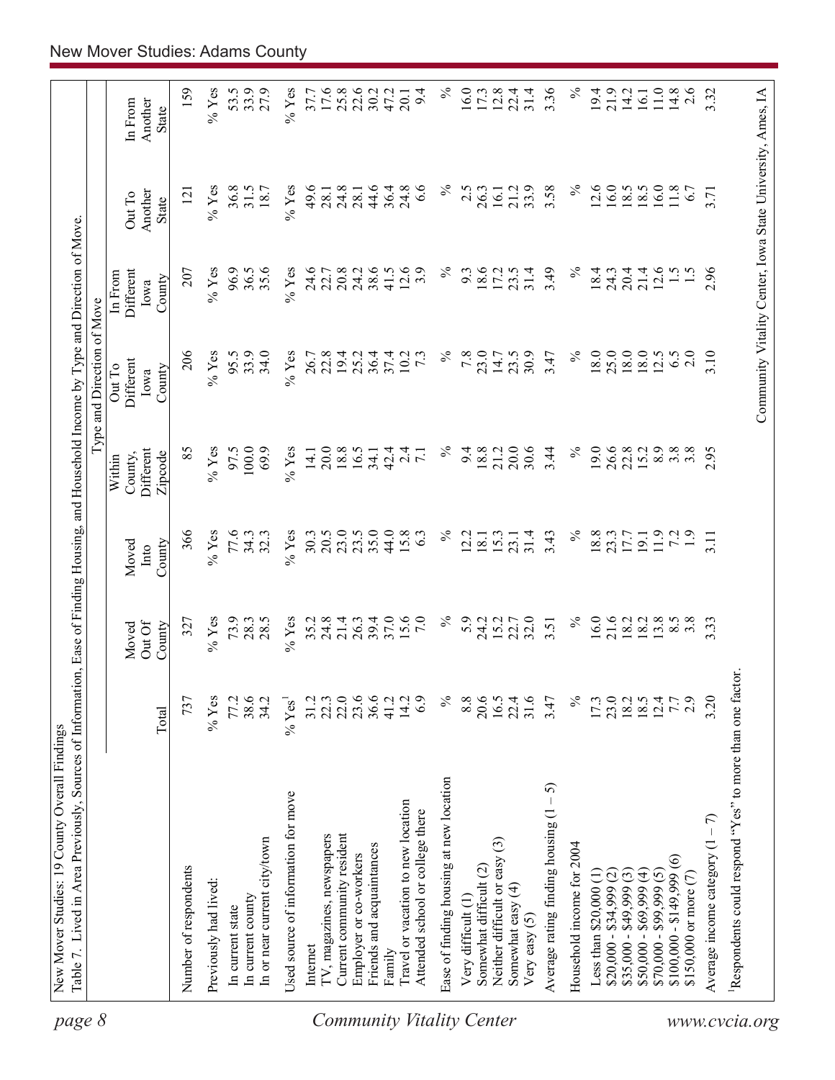| page 8                    |                                                                        |                      |                           |                         |                                           | Type and Direction of Move                                 |                                        |                            |                             |
|---------------------------|------------------------------------------------------------------------|----------------------|---------------------------|-------------------------|-------------------------------------------|------------------------------------------------------------|----------------------------------------|----------------------------|-----------------------------|
|                           |                                                                        | Total                | Out Of<br>County<br>Moved | County<br>Moved<br>Into | Different<br>Zipcode<br>County,<br>Within | Different<br>Out To<br>County<br>Iowa                      | Different<br>In From<br>County<br>Iowa | Another<br>Out To<br>State | In From<br>Another<br>State |
|                           | Number of respondents                                                  | 737                  | 327                       | 366                     | 85                                        | 206                                                        | 207                                    | $\overline{5}$             | 159                         |
|                           | Previously had lived:                                                  | $%$ Yes              | $%$ Yes                   | $%$ Yes                 | $%$ Yes                                   | $%$ Yes                                                    | $%$ Yes                                | $\%$ Yes                   | $%$ Yes                     |
|                           | In current state                                                       | 77.2                 | 73.9                      | 77.6                    | 97.5                                      | 95.5                                                       | 96.9                                   | 36.8                       | 53.5                        |
|                           | In current county                                                      | 38.6                 | 28.3                      | 34.3                    | 100.0                                     | 33.9                                                       | 36.5                                   | 31.5                       | 33.9                        |
|                           | In or near current city/town                                           | 34.2                 | 28.5                      | 32.3                    | 69.9                                      | 34.0                                                       | 35.6                                   | 18.7                       | 27.9                        |
|                           | Used source of information for move                                    | $%$ Yes <sup>1</sup> | $%$ Yes                   | $%$ Yes                 | $\%$ Yes                                  | $%$ Yes                                                    | $%$ Yes                                | $%$ Yes                    | $%$ Yes                     |
|                           | Internet                                                               | 31.2                 |                           | 30.3                    | 14.1                                      | 26.7                                                       | 24.6                                   | 49.6                       | 37.7                        |
|                           | TV, magazines, newspapers                                              | 22.3                 | $35.2$<br>$24.8$          | 20.5                    | 20.0                                      | 22.8                                                       | 22.7                                   | 28.1                       | 17.6                        |
|                           | Current community resident                                             | 22.0                 | 21.4                      | 23.0                    | 18.8                                      | 19.4                                                       | 20.8                                   | 24.8                       | $25.8$<br>$22.6$            |
|                           | Employer or co-workers                                                 | 23.6                 | 26.3                      | 23.5                    | 16.5                                      | 25.2                                                       | 24.2                                   | 28.                        |                             |
|                           | Friends and acquaintances                                              | 36.6                 | 39.4                      | 35.0                    | 34.1                                      | 36.4                                                       | 38.6                                   | 44.6                       | 30.2                        |
|                           | Family                                                                 | 41.2                 | 37.0                      | 44.0                    | 42.4                                      | 37.4                                                       | 41.5                                   | 36.4                       | 47.2                        |
| Community Vitality Center | Travel or vacation to new location<br>Attended school or college there | 14.2<br>6.9          | 15.6<br>7.0               | 15.8<br>63              | 2.4<br>$\overline{7.1}$                   | 10.2<br>$7\cdot3$                                          | 12.6<br>3.9                            | 24.8<br>6.6                | 9.4<br>20.1                 |
|                           | Ease of finding housing at new location                                | $\%$                 | $\%$                      | $\%$                    | $\%$                                      | $\%$                                                       | $\%$                                   | $\%$                       | $\%$                        |
|                           | Very difficult (1)                                                     | 8.8                  | 5.9                       | 12.2                    | 9.4                                       | 7.8                                                        | 9.3                                    | 2.5                        | 16.0                        |
|                           | Somewhat difficult (2)                                                 | 20.6                 | 24.2                      | 18.1                    | 18.8                                      | 23.0                                                       | 18.6                                   | 26.3                       | 17.3                        |
|                           | Neither difficult or easy (3)                                          | 16.5                 | 15.2                      | 15.3                    | 21.2                                      | 14.7                                                       | 17.2                                   | 16.1                       | 12.8                        |
|                           | Somewhat easy (4)<br>Very easy $(5)$                                   | 31.6<br>22.4         | 32.0<br>22.7              | 31.4<br>23.1            | 20.0<br>30.6                              | 30.9<br>23.5                                               | 31.4<br>23.5                           | 33.9<br>21.2               | 22.4<br>31.4                |
|                           | 5<br>Average rating finding housing (1                                 | 3.47                 | 3.51                      | 3.43                    | 3.44                                      | 3.47                                                       | 3.49                                   | 3.58                       | 3.36                        |
|                           | Household income for 2004                                              | $\%$                 | $\%$                      | $\%$                    | $\%$                                      | $\%$                                                       | $\%$                                   | $\%$                       | $\%$                        |
|                           | Less than $$20,000$ $(1)$                                              | 17.3                 | 16.0                      | 18.8                    | 19.0                                      | 18.0                                                       | 18.4                                   | 12.6                       | 19.4                        |
|                           | $$20,000 - $34,999 (2)$                                                | 23.0                 | 21.6                      | 23.3                    | 26.6                                      | 25.0                                                       | 24.3                                   | 16.0                       | 21.9                        |
|                           | $$35,000 - $49,999(3)$                                                 |                      | 18.2                      |                         | 22.8                                      | 18.0                                                       | 20.4                                   | 18.5                       | 14.2                        |
|                           | $$50,000 - $69,999 (4)$                                                | 18.5                 | 18.2                      | 19.1                    | 15.2                                      | 18.0                                                       | 21.4                                   | 18.5                       | 16.1                        |
|                           | $$70,000 - $99,999(5)$                                                 | 12.4                 | 13.8                      | 11.9                    | 8.9                                       | 12.5                                                       | 12.6                                   | 16.0                       | 11.0                        |
|                           | $\widehat{\circ}$<br>$$100,000 - $149,999$                             | 7.7                  | $8.\overline{5}$          | 72                      | $3.\overline{8}$                          | 6.5                                                        | $\frac{1}{5}$                          | 11.8                       | 14.8                        |
|                           | \$150,000 or more $(7)$                                                | 2.9                  | $3.\overline{8}$          | $\overline{1.9}$        | 3.8                                       | 2.0                                                        |                                        | 6.7                        | 2.6                         |
|                           | Average income category $(1 - 7)$                                      | 3.20                 | 3.33                      | 3.11                    | 2.95                                      | 3.10                                                       | 2.96                                   | 3.71                       | 3.32                        |
| www.cvcia.org             | Respondents could respond "Yes" to more than one factor.               |                      |                           |                         |                                           |                                                            |                                        |                            |                             |
|                           |                                                                        |                      |                           |                         |                                           | Community Vitality Center, Iowa State University, Ames, IA |                                        |                            |                             |
|                           |                                                                        |                      |                           |                         |                                           |                                                            |                                        |                            |                             |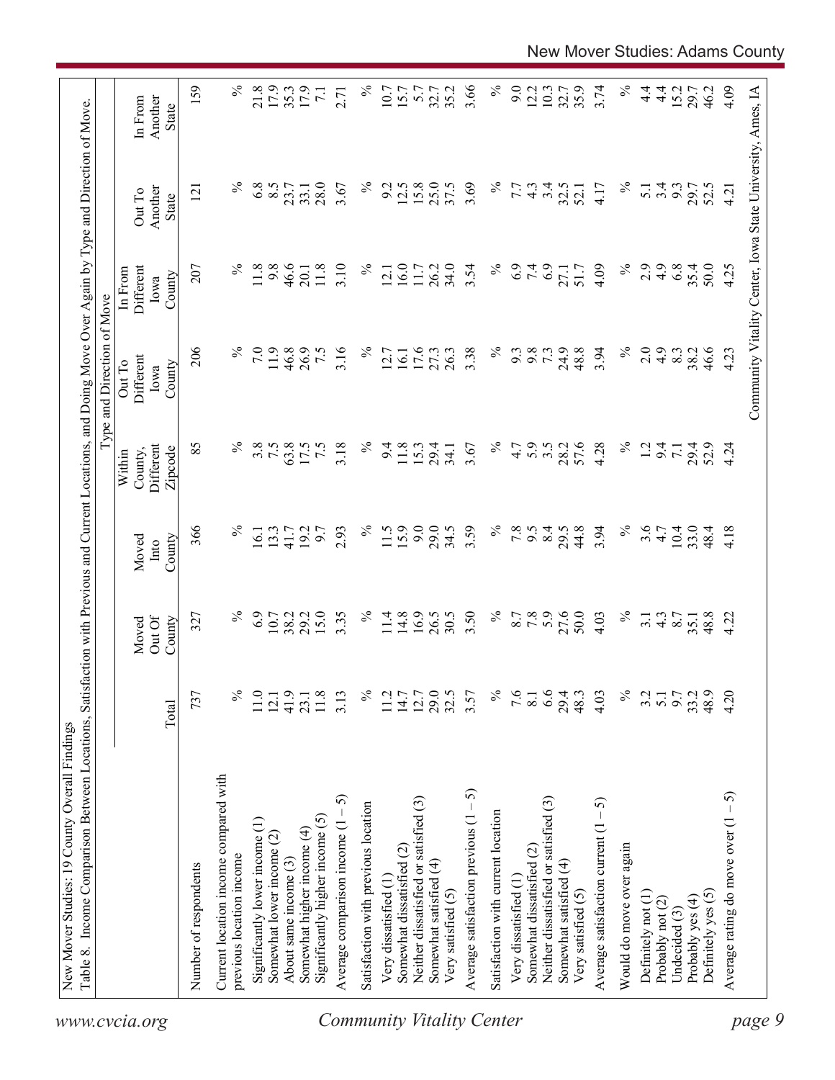| $\%$<br>4.9<br>35.4<br>207<br>$\%$<br>9.8<br>46.6<br>11.8<br>3.10<br>$\%$<br>16.0<br>26.2<br>34.0<br>$\%$<br>6.9<br>7.4<br>4.09<br>2.9<br>6.8<br>50.0<br>Different<br>11.8<br>11.7<br>3.54<br>27.1<br>51.7<br>12.1<br>20.1<br>In From<br>County<br>Iowa<br>206<br>24.9<br>48.8<br>3.94<br>$\%$<br>7.0<br>11.9<br>46.8<br>26.9<br>7.5<br>3.16<br>$\%$<br>16.1<br>17.6<br>$\%$<br>9.8<br>2.0<br>4.9<br>46.6<br>27.3<br>26.3<br>3.38<br>9.3<br>73<br>8.3<br>38.2<br>12.7<br>Different<br>Out To<br>County<br>Iowa<br>85<br>℅<br>$\%$<br>57.6<br>$\%$<br>3.8<br>7.5<br>63.8<br>7.5<br>3.18<br>$\%$<br>28.2<br>4.28<br>17.5<br>11.8<br>15.3<br>4.7<br>5.9<br>$3.\overline{5}$<br>$\overline{12}$<br>Different<br>9.4<br>29.4<br>3.67<br>9.4<br>29.4<br>52.9<br>$\overline{7.1}$<br>34.1<br>County,<br>Zipcode<br>Within<br>9.0<br>366<br>$\%$<br>$\%$<br>15.9<br>29.0<br>3.59<br>$\%$<br>$7.8$<br>8.4<br>44.8<br>3.94<br>$\%$<br>3.6<br>4.7<br>10.4<br>13.3<br>19.2<br>9.7<br>2.93<br>11.5<br>34.5<br>9.5<br>29.5<br>33.0<br>48.4<br>16.1<br>41.7<br>County<br>Moved<br>$\mathbf{Int} \mathbf{O}$<br>16.9<br>$\%$<br>27.6<br>$\%$<br>6.9<br>15.0<br>3.35<br>$\%$<br>3.50<br>5.9<br>50.0<br>$\%$<br>10.7<br>38.2<br>29.2<br>11.4<br>14.8<br>26.5<br>30.5<br>8.7<br>7.8<br>4.03<br>48.8<br>327<br>$4.\overline{3}$<br>8.7<br>$\overline{3}$ .<br>35.1<br>Out Of<br>Moved<br>County<br>29.5<br>$\%$<br>6.6<br>$\%$<br>737<br>$\%$<br>41.9<br>11.8<br>$\%$<br>12.7<br>7.6<br>29.4<br>9.7<br>33.2<br>48.9<br>11.0<br>3.13<br>11.2<br>14.7<br>3.57<br>8.1<br>48.3<br>4.03<br>3.2<br>5.1<br>12.1<br>23.1<br>Total<br>Current location income compared with<br>Average satisfaction previous $(1 - 5)$<br>Average comparison income $(1 - 5)$<br>Neither dissatisfied or satisfied (3)<br>Neither dissatisfied or satisfied (3)<br>Average satisfaction current $(1 - 5)$<br>Satisfaction with previous location<br>Satisfaction with current location<br>Significantly higher income $(5)$<br>Significantly lower income (1)<br>Somewhat higher income (4)<br>Somewhat lower income (2)<br>Would do move over again<br>Somewhat dissatisfied (2)<br>Somewhat dissatisfied (2)<br>previous location income<br>About same income (3)<br>Somewhat satisfied (4)<br>Somewhat satisfied (4)<br>Number of respondents<br>Very dissatisfied (1<br>Very dissatisfied (1<br>Very satisfied (5)<br>Very satisfied (5)<br>Definitely yes (5)<br>Definitely not (1)<br>Probably yes (4)<br>Probably not (2)<br>Undecided $(3)$ |  |  | Type and Direction of Move |                                   |                                    |
|--------------------------------------------------------------------------------------------------------------------------------------------------------------------------------------------------------------------------------------------------------------------------------------------------------------------------------------------------------------------------------------------------------------------------------------------------------------------------------------------------------------------------------------------------------------------------------------------------------------------------------------------------------------------------------------------------------------------------------------------------------------------------------------------------------------------------------------------------------------------------------------------------------------------------------------------------------------------------------------------------------------------------------------------------------------------------------------------------------------------------------------------------------------------------------------------------------------------------------------------------------------------------------------------------------------------------------------------------------------------------------------------------------------------------------------------------------------------------------------------------------------------------------------------------------------------------------------------------------------------------------------------------------------------------------------------------------------------------------------------------------------------------------------------------------------------------------------------------------------------------------------------------------------------------------------------------------------------------------------------------------------------------------------------------------------------------------------------------------------------------------------------------------------------------------------------------------------------------------------------------------------------------------------------------------------------------------------------------------------------------------------------------------------------------------------------------------------------------------------------------------|--|--|----------------------------|-----------------------------------|------------------------------------|
|                                                                                                                                                                                                                                                                                                                                                                                                                                                                                                                                                                                                                                                                                                                                                                                                                                                                                                                                                                                                                                                                                                                                                                                                                                                                                                                                                                                                                                                                                                                                                                                                                                                                                                                                                                                                                                                                                                                                                                                                                                                                                                                                                                                                                                                                                                                                                                                                                                                                                                        |  |  |                            | Another<br>Out To<br><b>State</b> | Another<br>In From<br><b>State</b> |
|                                                                                                                                                                                                                                                                                                                                                                                                                                                                                                                                                                                                                                                                                                                                                                                                                                                                                                                                                                                                                                                                                                                                                                                                                                                                                                                                                                                                                                                                                                                                                                                                                                                                                                                                                                                                                                                                                                                                                                                                                                                                                                                                                                                                                                                                                                                                                                                                                                                                                                        |  |  |                            | 121                               | 159                                |
|                                                                                                                                                                                                                                                                                                                                                                                                                                                                                                                                                                                                                                                                                                                                                                                                                                                                                                                                                                                                                                                                                                                                                                                                                                                                                                                                                                                                                                                                                                                                                                                                                                                                                                                                                                                                                                                                                                                                                                                                                                                                                                                                                                                                                                                                                                                                                                                                                                                                                                        |  |  |                            |                                   |                                    |
|                                                                                                                                                                                                                                                                                                                                                                                                                                                                                                                                                                                                                                                                                                                                                                                                                                                                                                                                                                                                                                                                                                                                                                                                                                                                                                                                                                                                                                                                                                                                                                                                                                                                                                                                                                                                                                                                                                                                                                                                                                                                                                                                                                                                                                                                                                                                                                                                                                                                                                        |  |  |                            | $\%$                              | $\%$                               |
| <b>Community Vitality Center</b>                                                                                                                                                                                                                                                                                                                                                                                                                                                                                                                                                                                                                                                                                                                                                                                                                                                                                                                                                                                                                                                                                                                                                                                                                                                                                                                                                                                                                                                                                                                                                                                                                                                                                                                                                                                                                                                                                                                                                                                                                                                                                                                                                                                                                                                                                                                                                                                                                                                                       |  |  |                            | 6.8                               | 21.8                               |
|                                                                                                                                                                                                                                                                                                                                                                                                                                                                                                                                                                                                                                                                                                                                                                                                                                                                                                                                                                                                                                                                                                                                                                                                                                                                                                                                                                                                                                                                                                                                                                                                                                                                                                                                                                                                                                                                                                                                                                                                                                                                                                                                                                                                                                                                                                                                                                                                                                                                                                        |  |  |                            | 8.5                               | 17.9                               |
|                                                                                                                                                                                                                                                                                                                                                                                                                                                                                                                                                                                                                                                                                                                                                                                                                                                                                                                                                                                                                                                                                                                                                                                                                                                                                                                                                                                                                                                                                                                                                                                                                                                                                                                                                                                                                                                                                                                                                                                                                                                                                                                                                                                                                                                                                                                                                                                                                                                                                                        |  |  |                            | 23.7                              | 35.3                               |
|                                                                                                                                                                                                                                                                                                                                                                                                                                                                                                                                                                                                                                                                                                                                                                                                                                                                                                                                                                                                                                                                                                                                                                                                                                                                                                                                                                                                                                                                                                                                                                                                                                                                                                                                                                                                                                                                                                                                                                                                                                                                                                                                                                                                                                                                                                                                                                                                                                                                                                        |  |  |                            | 33.1                              | 17.9                               |
|                                                                                                                                                                                                                                                                                                                                                                                                                                                                                                                                                                                                                                                                                                                                                                                                                                                                                                                                                                                                                                                                                                                                                                                                                                                                                                                                                                                                                                                                                                                                                                                                                                                                                                                                                                                                                                                                                                                                                                                                                                                                                                                                                                                                                                                                                                                                                                                                                                                                                                        |  |  |                            | 28.0                              | $\overline{7.1}$                   |
|                                                                                                                                                                                                                                                                                                                                                                                                                                                                                                                                                                                                                                                                                                                                                                                                                                                                                                                                                                                                                                                                                                                                                                                                                                                                                                                                                                                                                                                                                                                                                                                                                                                                                                                                                                                                                                                                                                                                                                                                                                                                                                                                                                                                                                                                                                                                                                                                                                                                                                        |  |  |                            | 3.67                              | 2.71                               |
|                                                                                                                                                                                                                                                                                                                                                                                                                                                                                                                                                                                                                                                                                                                                                                                                                                                                                                                                                                                                                                                                                                                                                                                                                                                                                                                                                                                                                                                                                                                                                                                                                                                                                                                                                                                                                                                                                                                                                                                                                                                                                                                                                                                                                                                                                                                                                                                                                                                                                                        |  |  |                            | $\%$                              | $\%$                               |
|                                                                                                                                                                                                                                                                                                                                                                                                                                                                                                                                                                                                                                                                                                                                                                                                                                                                                                                                                                                                                                                                                                                                                                                                                                                                                                                                                                                                                                                                                                                                                                                                                                                                                                                                                                                                                                                                                                                                                                                                                                                                                                                                                                                                                                                                                                                                                                                                                                                                                                        |  |  |                            | 9.2                               | 10.7                               |
|                                                                                                                                                                                                                                                                                                                                                                                                                                                                                                                                                                                                                                                                                                                                                                                                                                                                                                                                                                                                                                                                                                                                                                                                                                                                                                                                                                                                                                                                                                                                                                                                                                                                                                                                                                                                                                                                                                                                                                                                                                                                                                                                                                                                                                                                                                                                                                                                                                                                                                        |  |  |                            | 12.5                              | 15.7                               |
|                                                                                                                                                                                                                                                                                                                                                                                                                                                                                                                                                                                                                                                                                                                                                                                                                                                                                                                                                                                                                                                                                                                                                                                                                                                                                                                                                                                                                                                                                                                                                                                                                                                                                                                                                                                                                                                                                                                                                                                                                                                                                                                                                                                                                                                                                                                                                                                                                                                                                                        |  |  |                            | 15.8                              | 5.7                                |
|                                                                                                                                                                                                                                                                                                                                                                                                                                                                                                                                                                                                                                                                                                                                                                                                                                                                                                                                                                                                                                                                                                                                                                                                                                                                                                                                                                                                                                                                                                                                                                                                                                                                                                                                                                                                                                                                                                                                                                                                                                                                                                                                                                                                                                                                                                                                                                                                                                                                                                        |  |  |                            | 25.0                              | 32.7                               |
|                                                                                                                                                                                                                                                                                                                                                                                                                                                                                                                                                                                                                                                                                                                                                                                                                                                                                                                                                                                                                                                                                                                                                                                                                                                                                                                                                                                                                                                                                                                                                                                                                                                                                                                                                                                                                                                                                                                                                                                                                                                                                                                                                                                                                                                                                                                                                                                                                                                                                                        |  |  |                            | 37.5                              | 35.2                               |
|                                                                                                                                                                                                                                                                                                                                                                                                                                                                                                                                                                                                                                                                                                                                                                                                                                                                                                                                                                                                                                                                                                                                                                                                                                                                                                                                                                                                                                                                                                                                                                                                                                                                                                                                                                                                                                                                                                                                                                                                                                                                                                                                                                                                                                                                                                                                                                                                                                                                                                        |  |  |                            | 3.69                              | 3.66                               |
|                                                                                                                                                                                                                                                                                                                                                                                                                                                                                                                                                                                                                                                                                                                                                                                                                                                                                                                                                                                                                                                                                                                                                                                                                                                                                                                                                                                                                                                                                                                                                                                                                                                                                                                                                                                                                                                                                                                                                                                                                                                                                                                                                                                                                                                                                                                                                                                                                                                                                                        |  |  |                            | $\%$                              | $\%$                               |
|                                                                                                                                                                                                                                                                                                                                                                                                                                                                                                                                                                                                                                                                                                                                                                                                                                                                                                                                                                                                                                                                                                                                                                                                                                                                                                                                                                                                                                                                                                                                                                                                                                                                                                                                                                                                                                                                                                                                                                                                                                                                                                                                                                                                                                                                                                                                                                                                                                                                                                        |  |  |                            | 7.7                               | 9.0                                |
|                                                                                                                                                                                                                                                                                                                                                                                                                                                                                                                                                                                                                                                                                                                                                                                                                                                                                                                                                                                                                                                                                                                                                                                                                                                                                                                                                                                                                                                                                                                                                                                                                                                                                                                                                                                                                                                                                                                                                                                                                                                                                                                                                                                                                                                                                                                                                                                                                                                                                                        |  |  |                            | $4.\overline{3}$                  | 12.2                               |
|                                                                                                                                                                                                                                                                                                                                                                                                                                                                                                                                                                                                                                                                                                                                                                                                                                                                                                                                                                                                                                                                                                                                                                                                                                                                                                                                                                                                                                                                                                                                                                                                                                                                                                                                                                                                                                                                                                                                                                                                                                                                                                                                                                                                                                                                                                                                                                                                                                                                                                        |  |  |                            | 3.4                               | 10.3                               |
|                                                                                                                                                                                                                                                                                                                                                                                                                                                                                                                                                                                                                                                                                                                                                                                                                                                                                                                                                                                                                                                                                                                                                                                                                                                                                                                                                                                                                                                                                                                                                                                                                                                                                                                                                                                                                                                                                                                                                                                                                                                                                                                                                                                                                                                                                                                                                                                                                                                                                                        |  |  |                            | 32.5                              | 32.7                               |
|                                                                                                                                                                                                                                                                                                                                                                                                                                                                                                                                                                                                                                                                                                                                                                                                                                                                                                                                                                                                                                                                                                                                                                                                                                                                                                                                                                                                                                                                                                                                                                                                                                                                                                                                                                                                                                                                                                                                                                                                                                                                                                                                                                                                                                                                                                                                                                                                                                                                                                        |  |  |                            | 52.1                              | 35.9                               |
|                                                                                                                                                                                                                                                                                                                                                                                                                                                                                                                                                                                                                                                                                                                                                                                                                                                                                                                                                                                                                                                                                                                                                                                                                                                                                                                                                                                                                                                                                                                                                                                                                                                                                                                                                                                                                                                                                                                                                                                                                                                                                                                                                                                                                                                                                                                                                                                                                                                                                                        |  |  |                            | 4.17                              | 3.74                               |
|                                                                                                                                                                                                                                                                                                                                                                                                                                                                                                                                                                                                                                                                                                                                                                                                                                                                                                                                                                                                                                                                                                                                                                                                                                                                                                                                                                                                                                                                                                                                                                                                                                                                                                                                                                                                                                                                                                                                                                                                                                                                                                                                                                                                                                                                                                                                                                                                                                                                                                        |  |  |                            | $\%$                              | $\%$                               |
|                                                                                                                                                                                                                                                                                                                                                                                                                                                                                                                                                                                                                                                                                                                                                                                                                                                                                                                                                                                                                                                                                                                                                                                                                                                                                                                                                                                                                                                                                                                                                                                                                                                                                                                                                                                                                                                                                                                                                                                                                                                                                                                                                                                                                                                                                                                                                                                                                                                                                                        |  |  |                            | $\overline{5.1}$                  | $\frac{4}{4}$                      |
|                                                                                                                                                                                                                                                                                                                                                                                                                                                                                                                                                                                                                                                                                                                                                                                                                                                                                                                                                                                                                                                                                                                                                                                                                                                                                                                                                                                                                                                                                                                                                                                                                                                                                                                                                                                                                                                                                                                                                                                                                                                                                                                                                                                                                                                                                                                                                                                                                                                                                                        |  |  |                            | 3.4                               | $4\cdot$                           |
|                                                                                                                                                                                                                                                                                                                                                                                                                                                                                                                                                                                                                                                                                                                                                                                                                                                                                                                                                                                                                                                                                                                                                                                                                                                                                                                                                                                                                                                                                                                                                                                                                                                                                                                                                                                                                                                                                                                                                                                                                                                                                                                                                                                                                                                                                                                                                                                                                                                                                                        |  |  |                            | 9.3                               | 15.2                               |
|                                                                                                                                                                                                                                                                                                                                                                                                                                                                                                                                                                                                                                                                                                                                                                                                                                                                                                                                                                                                                                                                                                                                                                                                                                                                                                                                                                                                                                                                                                                                                                                                                                                                                                                                                                                                                                                                                                                                                                                                                                                                                                                                                                                                                                                                                                                                                                                                                                                                                                        |  |  |                            | 29.7                              | 29.7                               |
|                                                                                                                                                                                                                                                                                                                                                                                                                                                                                                                                                                                                                                                                                                                                                                                                                                                                                                                                                                                                                                                                                                                                                                                                                                                                                                                                                                                                                                                                                                                                                                                                                                                                                                                                                                                                                                                                                                                                                                                                                                                                                                                                                                                                                                                                                                                                                                                                                                                                                                        |  |  |                            | 52.5                              | 46.2                               |
| 4.25<br>4.23<br>4.24<br>4.18<br>4.22<br>4.20<br>$-5$<br>Average rating do move over (1                                                                                                                                                                                                                                                                                                                                                                                                                                                                                                                                                                                                                                                                                                                                                                                                                                                                                                                                                                                                                                                                                                                                                                                                                                                                                                                                                                                                                                                                                                                                                                                                                                                                                                                                                                                                                                                                                                                                                                                                                                                                                                                                                                                                                                                                                                                                                                                                                 |  |  |                            | 4.21                              | 4.09                               |
| Community Vitality Center, Iowa State University, Ames, IA<br>page 9                                                                                                                                                                                                                                                                                                                                                                                                                                                                                                                                                                                                                                                                                                                                                                                                                                                                                                                                                                                                                                                                                                                                                                                                                                                                                                                                                                                                                                                                                                                                                                                                                                                                                                                                                                                                                                                                                                                                                                                                                                                                                                                                                                                                                                                                                                                                                                                                                                   |  |  |                            |                                   |                                    |